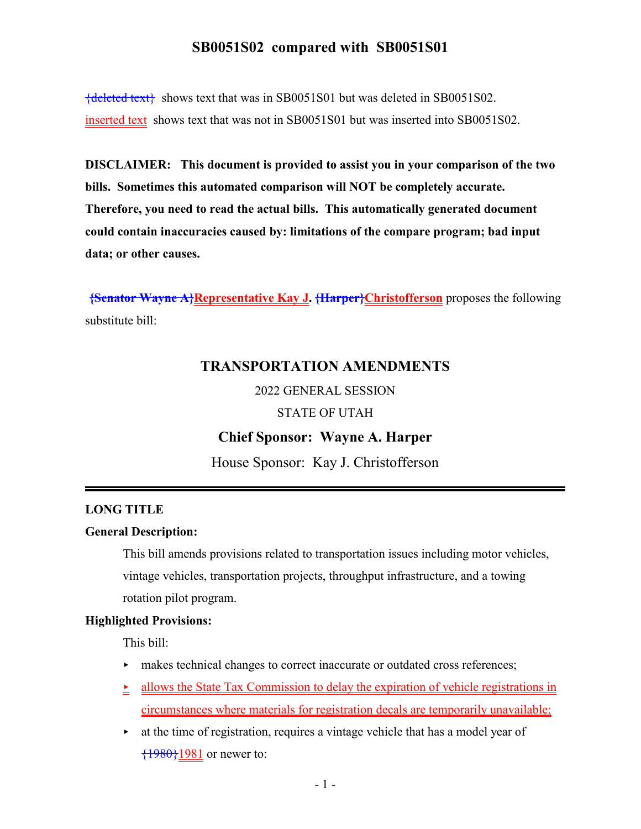{deleted text} shows text that was in SB0051S01 but was deleted in SB0051S02. inserted text shows text that was not in SB0051S01 but was inserted into SB0051S02.

**DISCLAIMER: This document is provided to assist you in your comparison of the two bills. Sometimes this automated comparison will NOT be completely accurate. Therefore, you need to read the actual bills. This automatically generated document could contain inaccuracies caused by: limitations of the compare program; bad input data; or other causes.**

**{Senator Wayne A}Representative Kay J. {Harper}Christofferson** proposes the following substitute bill:

## **TRANSPORTATION AMENDMENTS**

2022 GENERAL SESSION

STATE OF UTAH

## **Chief Sponsor: Wayne A. Harper**

House Sponsor: Kay J. Christofferson

#### **LONG TITLE**

#### **General Description:**

This bill amends provisions related to transportation issues including motor vehicles, vintage vehicles, transportation projects, throughput infrastructure, and a towing rotation pilot program.

#### **Highlighted Provisions:**

This bill:

- $\blacktriangleright$  makes technical changes to correct inaccurate or outdated cross references;
- $\geq$  allows the State Tax Commission to delay the expiration of vehicle registrations in circumstances where materials for registration decals are temporarily unavailable;
- $\rightarrow$  at the time of registration, requires a vintage vehicle that has a model year of  $\{1980\}1981$  or newer to: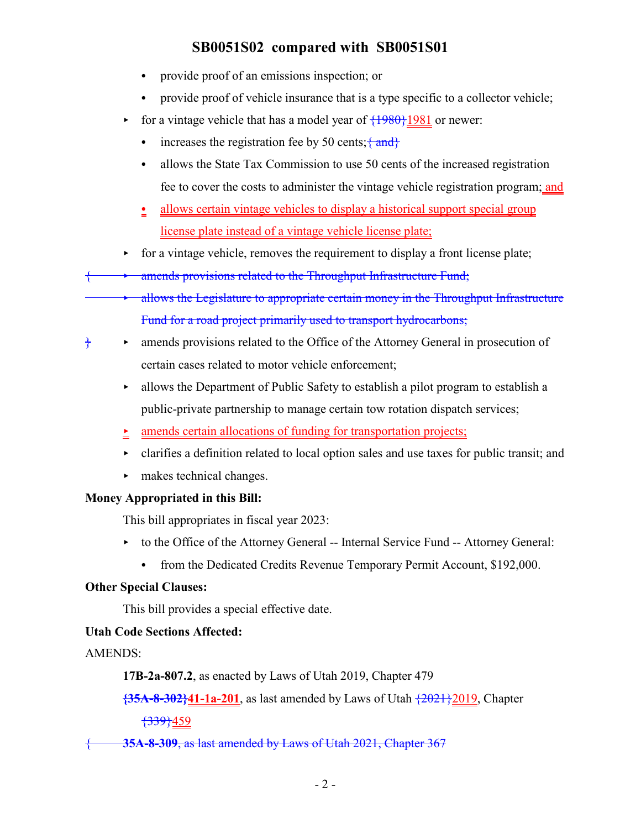- provide proof of an emissions inspection; or
- provide proof of vehicle insurance that is a type specific to a collector vehicle;
- for a vintage vehicle that has a model year of  $\{1980\}$  1981 or newer:
	- increases the registration fee by 50 cents;  $\{\text{and}\}\$
	- allows the State Tax Commission to use 50 cents of the increased registration fee to cover the costs to administer the vintage vehicle registration program; and
	- allows certain vintage vehicles to display a historical support special group license plate instead of a vintage vehicle license plate;
- $\triangleright$  for a vintage vehicle, removes the requirement to display a front license plate;
- { < amends provisions related to the Throughput Infrastructure Fund;
	- allows the Legislature to appropriate certain money in the Throughput Infrastructure Fund for a road project primarily used to transport hydrocarbons;
- $\diamond$  amends provisions related to the Office of the Attorney General in prosecution of certain cases related to motor vehicle enforcement;
	- $\rightarrow$  allows the Department of Public Safety to establish a pilot program to establish a public-private partnership to manage certain tow rotation dispatch services;
	- $\rightarrow$  amends certain allocations of funding for transportation projects;
	- $\triangleright$  clarifies a definition related to local option sales and use taxes for public transit; and
	- $\blacktriangleright$  makes technical changes.

## **Money Appropriated in this Bill:**

This bill appropriates in fiscal year 2023:

- ▶ to the Office of the Attorney General -- Internal Service Fund -- Attorney General:
	- from the Dedicated Credits Revenue Temporary Permit Account, \$192,000.

## **Other Special Clauses:**

This bill provides a special effective date.

## **Utah Code Sections Affected:**

AMENDS:

**17B-2a-807.2**, as enacted by Laws of Utah 2019, Chapter 479

**{35A-8-302}41-1a-201**, as last amended by Laws of Utah {2021}2019, Chapter

{339}459

{ **35A-8-309**, as last amended by Laws of Utah 2021, Chapter 367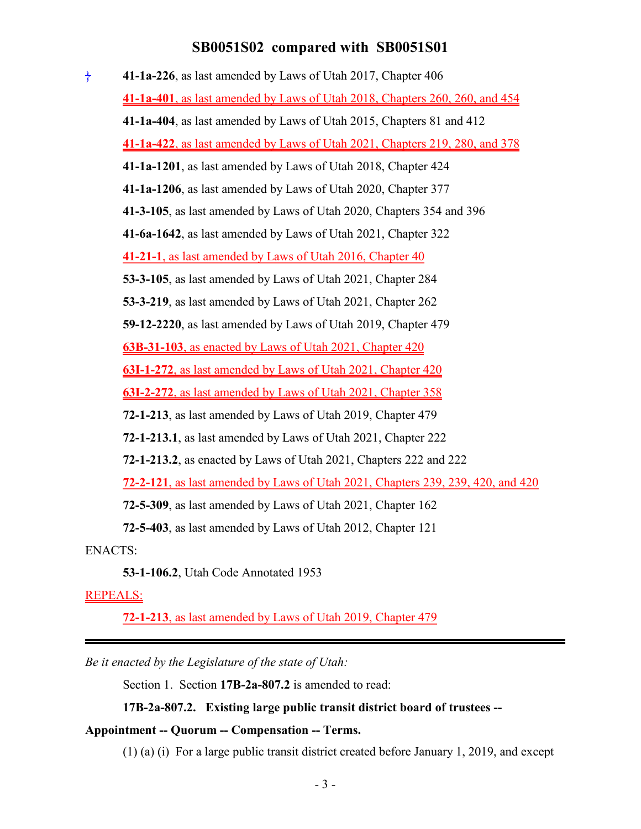} **41-1a-226**, as last amended by Laws of Utah 2017, Chapter 406 **41-1a-401**, as last amended by Laws of Utah 2018, Chapters 260, 260, and 454 **41-1a-404**, as last amended by Laws of Utah 2015, Chapters 81 and 412 **41-1a-422**, as last amended by Laws of Utah 2021, Chapters 219, 280, and 378 **41-1a-1201**, as last amended by Laws of Utah 2018, Chapter 424 **41-1a-1206**, as last amended by Laws of Utah 2020, Chapter 377 **41-3-105**, as last amended by Laws of Utah 2020, Chapters 354 and 396 **41-6a-1642**, as last amended by Laws of Utah 2021, Chapter 322 **41-21-1**, as last amended by Laws of Utah 2016, Chapter 40 **53-3-105**, as last amended by Laws of Utah 2021, Chapter 284 **53-3-219**, as last amended by Laws of Utah 2021, Chapter 262 **59-12-2220**, as last amended by Laws of Utah 2019, Chapter 479 **63B-31-103**, as enacted by Laws of Utah 2021, Chapter 420 **63I-1-272**, as last amended by Laws of Utah 2021, Chapter 420 **63I-2-272**, as last amended by Laws of Utah 2021, Chapter 358 **72-1-213**, as last amended by Laws of Utah 2019, Chapter 479 **72-1-213.1**, as last amended by Laws of Utah 2021, Chapter 222 **72-1-213.2**, as enacted by Laws of Utah 2021, Chapters 222 and 222 **72-2-121**, as last amended by Laws of Utah 2021, Chapters 239, 239, 420, and 420 **72-5-309**, as last amended by Laws of Utah 2021, Chapter 162 **72-5-403**, as last amended by Laws of Utah 2012, Chapter 121

ENACTS:

**53-1-106.2**, Utah Code Annotated 1953

#### REPEALS:

**72-1-213**, as last amended by Laws of Utah 2019, Chapter 479

*Be it enacted by the Legislature of the state of Utah:*

Section 1. Section **17B-2a-807.2** is amended to read:

#### **17B-2a-807.2. Existing large public transit district board of trustees --**

#### **Appointment -- Quorum -- Compensation -- Terms.**

(1) (a) (i) For a large public transit district created before January 1, 2019, and except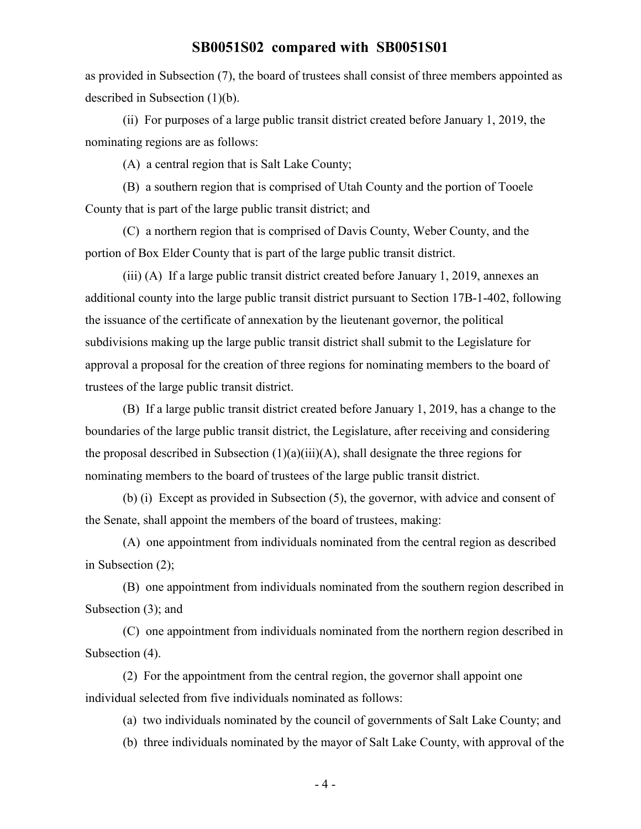as provided in Subsection (7), the board of trustees shall consist of three members appointed as described in Subsection (1)(b).

(ii) For purposes of a large public transit district created before January 1, 2019, the nominating regions are as follows:

(A) a central region that is Salt Lake County;

(B) a southern region that is comprised of Utah County and the portion of Tooele County that is part of the large public transit district; and

(C) a northern region that is comprised of Davis County, Weber County, and the portion of Box Elder County that is part of the large public transit district.

(iii) (A) If a large public transit district created before January 1, 2019, annexes an additional county into the large public transit district pursuant to Section 17B-1-402, following the issuance of the certificate of annexation by the lieutenant governor, the political subdivisions making up the large public transit district shall submit to the Legislature for approval a proposal for the creation of three regions for nominating members to the board of trustees of the large public transit district.

(B) If a large public transit district created before January 1, 2019, has a change to the boundaries of the large public transit district, the Legislature, after receiving and considering the proposal described in Subsection (1)(a)(iii)(A), shall designate the three regions for nominating members to the board of trustees of the large public transit district.

(b) (i) Except as provided in Subsection (5), the governor, with advice and consent of the Senate, shall appoint the members of the board of trustees, making:

(A) one appointment from individuals nominated from the central region as described in Subsection (2);

(B) one appointment from individuals nominated from the southern region described in Subsection (3); and

(C) one appointment from individuals nominated from the northern region described in Subsection (4).

(2) For the appointment from the central region, the governor shall appoint one individual selected from five individuals nominated as follows:

(a) two individuals nominated by the council of governments of Salt Lake County; and

(b) three individuals nominated by the mayor of Salt Lake County, with approval of the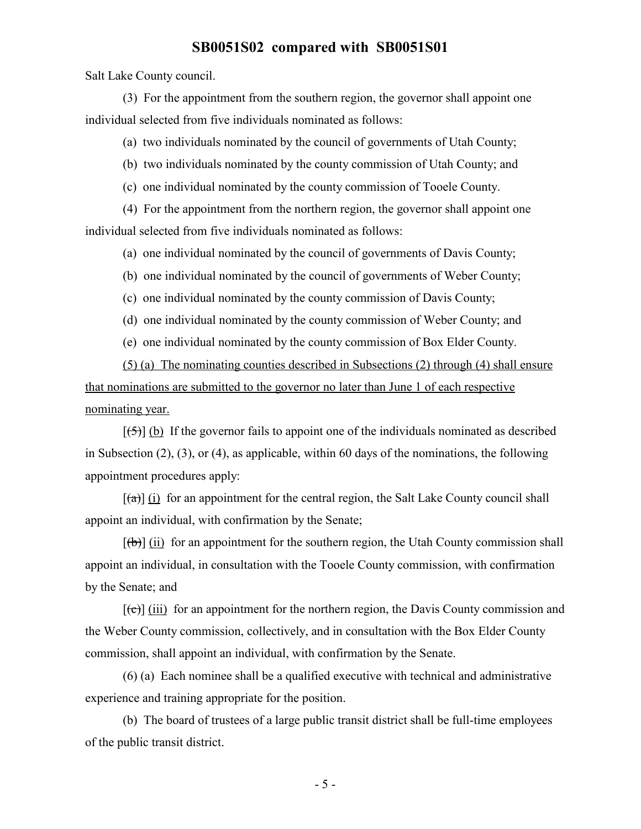Salt Lake County council.

(3) For the appointment from the southern region, the governor shall appoint one individual selected from five individuals nominated as follows:

(a) two individuals nominated by the council of governments of Utah County;

(b) two individuals nominated by the county commission of Utah County; and

(c) one individual nominated by the county commission of Tooele County.

(4) For the appointment from the northern region, the governor shall appoint one individual selected from five individuals nominated as follows:

(a) one individual nominated by the council of governments of Davis County;

(b) one individual nominated by the council of governments of Weber County;

(c) one individual nominated by the county commission of Davis County;

(d) one individual nominated by the county commission of Weber County; and

(e) one individual nominated by the county commission of Box Elder County.

(5) (a) The nominating counties described in Subsections (2) through (4) shall ensure that nominations are submitted to the governor no later than June 1 of each respective nominating year.

 $[\frac{1}{5}]$  (b) If the governor fails to appoint one of the individuals nominated as described in Subsection (2), (3), or (4), as applicable, within 60 days of the nominations, the following appointment procedures apply:

 $[(a)]$  (i) for an appointment for the central region, the Salt Lake County council shall appoint an individual, with confirmation by the Senate;

 $[(\theta)]$  (ii) for an appointment for the southern region, the Utah County commission shall appoint an individual, in consultation with the Tooele County commission, with confirmation by the Senate; and

 $[\text{e}(\text{e})]$  (iii) for an appointment for the northern region, the Davis County commission and the Weber County commission, collectively, and in consultation with the Box Elder County commission, shall appoint an individual, with confirmation by the Senate.

(6) (a) Each nominee shall be a qualified executive with technical and administrative experience and training appropriate for the position.

(b) The board of trustees of a large public transit district shall be full-time employees of the public transit district.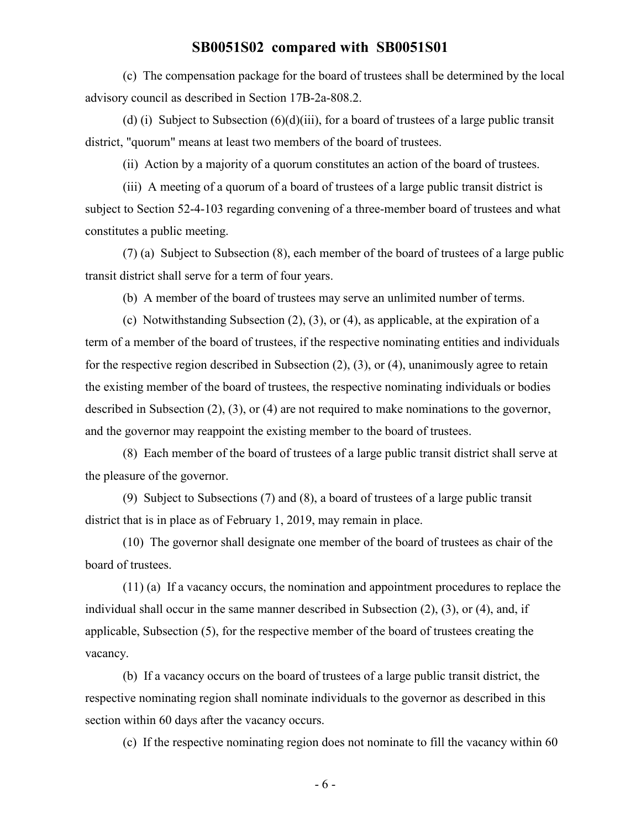(c) The compensation package for the board of trustees shall be determined by the local advisory council as described in Section 17B-2a-808.2.

(d) (i) Subject to Subsection  $(6)(d)(iii)$ , for a board of trustees of a large public transit district, "quorum" means at least two members of the board of trustees.

(ii) Action by a majority of a quorum constitutes an action of the board of trustees.

(iii) A meeting of a quorum of a board of trustees of a large public transit district is subject to Section 52-4-103 regarding convening of a three-member board of trustees and what constitutes a public meeting.

(7) (a) Subject to Subsection (8), each member of the board of trustees of a large public transit district shall serve for a term of four years.

(b) A member of the board of trustees may serve an unlimited number of terms.

(c) Notwithstanding Subsection (2), (3), or (4), as applicable, at the expiration of a term of a member of the board of trustees, if the respective nominating entities and individuals for the respective region described in Subsection (2), (3), or (4), unanimously agree to retain the existing member of the board of trustees, the respective nominating individuals or bodies described in Subsection (2), (3), or (4) are not required to make nominations to the governor, and the governor may reappoint the existing member to the board of trustees.

(8) Each member of the board of trustees of a large public transit district shall serve at the pleasure of the governor.

(9) Subject to Subsections (7) and (8), a board of trustees of a large public transit district that is in place as of February 1, 2019, may remain in place.

(10) The governor shall designate one member of the board of trustees as chair of the board of trustees.

(11) (a) If a vacancy occurs, the nomination and appointment procedures to replace the individual shall occur in the same manner described in Subsection (2), (3), or (4), and, if applicable, Subsection (5), for the respective member of the board of trustees creating the vacancy.

(b) If a vacancy occurs on the board of trustees of a large public transit district, the respective nominating region shall nominate individuals to the governor as described in this section within 60 days after the vacancy occurs.

(c) If the respective nominating region does not nominate to fill the vacancy within 60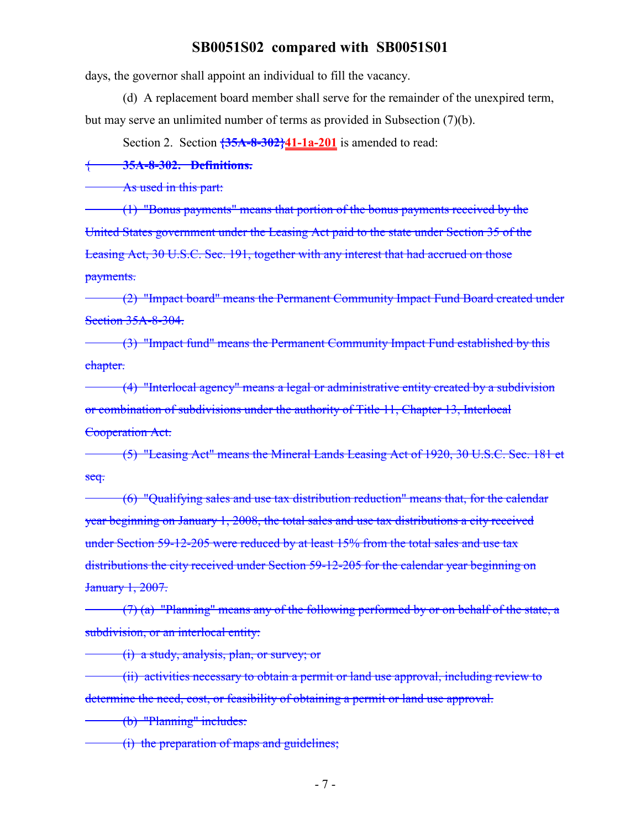days, the governor shall appoint an individual to fill the vacancy.

(d) A replacement board member shall serve for the remainder of the unexpired term, but may serve an unlimited number of terms as provided in Subsection (7)(b).

Section 2. Section **{35A-8-302}41-1a-201** is amended to read:

{ **35A-8-302. Definitions.**

As used in this part:

(1) "Bonus payments" means that portion of the bonus payments received by the United States government under the Leasing Act paid to the state under Section 35 of the Leasing Act, 30 U.S.C. Sec. 191, together with any interest that had accrued on those payments.

(2) "Impact board" means the Permanent Community Impact Fund Board created under Section 35A-8-304.

(3) "Impact fund" means the Permanent Community Impact Fund established by this chapter.

(4) "Interlocal agency" means a legal or administrative entity created by a subdivision or combination of subdivisions under the authority of Title 11, Chapter 13, Interlocal Cooperation Act.

(5) "Leasing Act" means the Mineral Lands Leasing Act of 1920, 30 U.S.C. Sec. 181 et seq.

(6) "Qualifying sales and use tax distribution reduction" means that, for the calendar year beginning on January 1, 2008, the total sales and use tax distributions a city received under Section 59-12-205 were reduced by at least 15% from the total sales and use tax distributions the city received under Section 59-12-205 for the calendar year beginning on January 1, 2007.

 $(7)$  (a) "Planning" means any of the following performed by or on behalf of the state, a subdivision, or an interlocal entity:

(i) a study, analysis, plan, or survey; or

(ii) activities necessary to obtain a permit or land use approval, including review to determine the need, cost, or feasibility of obtaining a permit or land use approval.

(b) "Planning" includes:

(i) the preparation of maps and guidelines;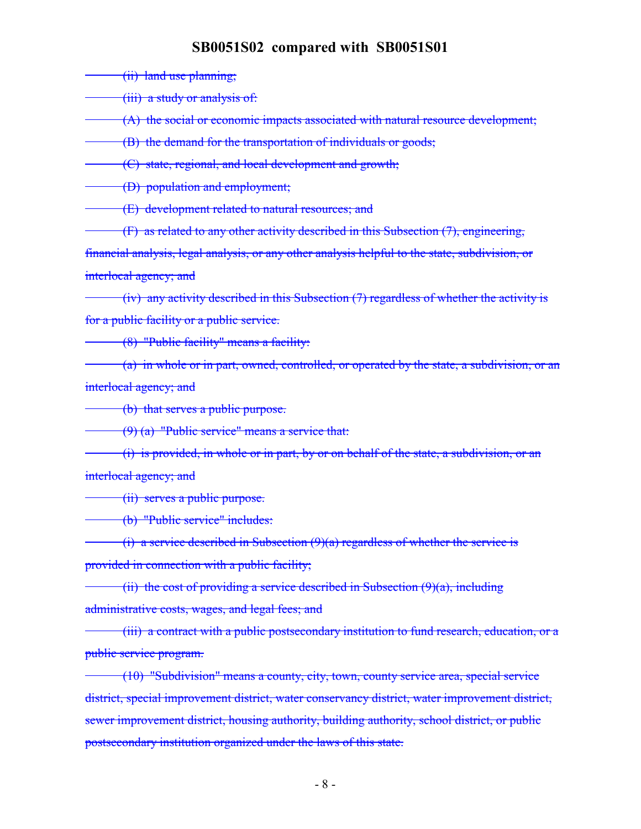(ii) land use planning;

(iii) a study or analysis of:

(A) the social or economic impacts associated with natural resource development;

(B) the demand for the transportation of individuals or goods;

(C) state, regional, and local development and growth;

(D) population and employment;

(E) development related to natural resources; and

(F) as related to any other activity described in this Subsection (7), engineering,

financial analysis, legal analysis, or any other analysis helpful to the state, subdivision, or interlocal agency; and

(iv) any activity described in this Subsection (7) regardless of whether the activity is for a public facility or a public service.

(8) "Public facility" means a facility:

(a) in whole or in part, owned, controlled, or operated by the state, a subdivision, or an interlocal agency; and

(b) that serves a public purpose.

(9) (a) "Public service" means a service that:

(i) is provided, in whole or in part, by or on behalf of the state, a subdivision, or an interlocal agency; and

(ii) serves a public purpose.

(b) "Public service" includes:

(i) a service described in Subsection  $(9)(a)$  regardless of whether the service is provided in connection with a public facility;

(ii) the cost of providing a service described in Subsection  $(9)(a)$ , including administrative costs, wages, and legal fees; and

(iii) a contract with a public postsecondary institution to fund research, education, or a public service program.

(10) "Subdivision" means a county, city, town, county service area, special service district, special improvement district, water conservancy district, water improvement district, sewer improvement district, housing authority, building authority, school district, or public postsecondary institution organized under the laws of this state.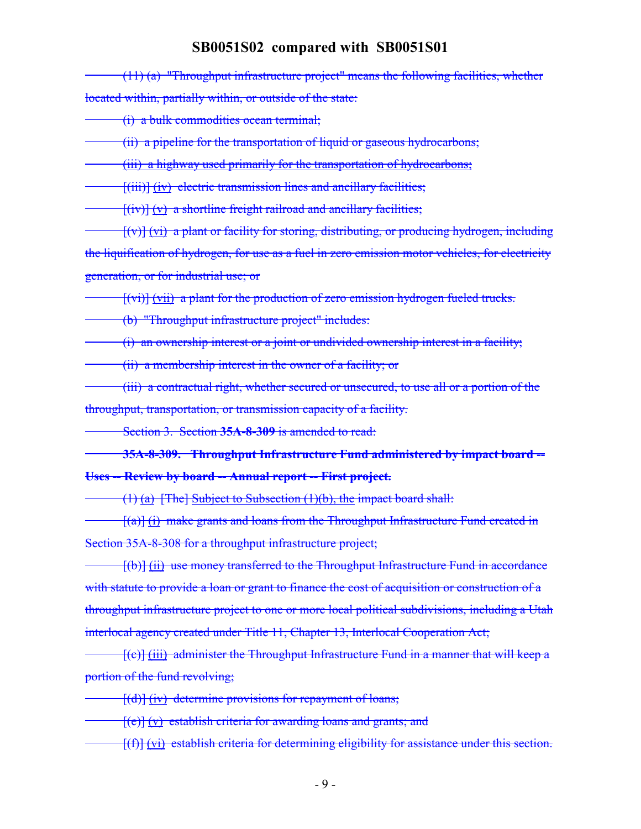(11) (a) "Throughput infrastructure project" means the following facilities, whether located within, partially within, or outside of the state:

(i) a bulk commodities ocean terminal;

(ii) a pipeline for the transportation of liquid or gaseous hydrocarbons;

(iii) a highway used primarily for the transportation of hydrocarbons;

 $[f(iii)]$   $(iv)$  electric transmission lines and ancillary facilities;

 $[f(iv)] (v)$  a shortline freight railroad and ancillary facilities;

[(v)] (vi) a plant or facility for storing, distributing, or producing hydrogen, including the liquification of hydrogen, for use as a fuel in zero emission motor vehicles, for electricity generation, or for industrial use; or

 $[(vi)]$  (vii) a plant for the production of zero emission hydrogen fueled trucks.

(b) "Throughput infrastructure project" includes:

(i) an ownership interest or a joint or undivided ownership interest in a facility;

(ii) a membership interest in the owner of a facility; or

(iii) a contractual right, whether secured or unsecured, to use all or a portion of the throughput, transportation, or transmission capacity of a facility.

Section 3. Section **35A-8-309** is amended to read:

**35A-8-309. Throughput Infrastructure Fund administered by impact board -- Uses -- Review by board -- Annual report -- First project.**

 $(1)$  (a) [The] Subject to Subsection (1)(b), the impact board shall:

 $\frac{f(a)}{i}$  make grants and loans from the Throughput Infrastructure Fund created in Section 35A-8-308 for a throughput infrastructure project;

[(b)] (ii) use money transferred to the Throughput Infrastructure Fund in accordance with statute to provide a loan or grant to finance the cost of acquisition or construction of a throughput infrastructure project to one or more local political subdivisions, including a Utah interlocal agency created under Title 11, Chapter 13, Interlocal Cooperation Act;

[(c)] (iii) administer the Throughput Infrastructure Fund in a manner that will keep a portion of the fund revolving;

[(d)] (iv) determine provisions for repayment of loans;

 $[(e)] (v)$  establish criteria for awarding loans and grants; and

[(f)] (vi) establish criteria for determining eligibility for assistance under this section.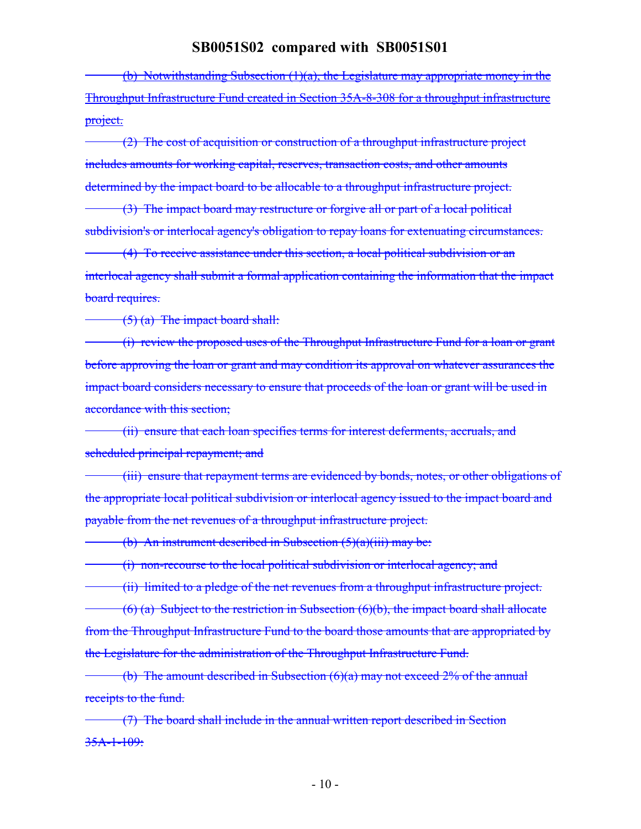(b) Notwithstanding Subsection (1)(a), the Legislature may appropriate money in the Throughput Infrastructure Fund created in Section 35A-8-308 for a throughput infrastructure project.

(2) The cost of acquisition or construction of a throughput infrastructure project includes amounts for working capital, reserves, transaction costs, and other amounts determined by the impact board to be allocable to a throughput infrastructure project.

(3) The impact board may restructure or forgive all or part of a local political subdivision's or interlocal agency's obligation to repay loans for extenuating circumstances.

(4) To receive assistance under this section, a local political subdivision or an interlocal agency shall submit a formal application containing the information that the impact board requires.

 $(5)$  (a) The impact board shall:

(i) review the proposed uses of the Throughput Infrastructure Fund for a loan or grant before approving the loan or grant and may condition its approval on whatever assurances the impact board considers necessary to ensure that proceeds of the loan or grant will be used in accordance with this section;

(ii) ensure that each loan specifies terms for interest deferments, accruals, and scheduled principal repayment; and

(iii) ensure that repayment terms are evidenced by bonds, notes, or other obligations of the appropriate local political subdivision or interlocal agency issued to the impact board and payable from the net revenues of a throughput infrastructure project.

(b) An instrument described in Subsection  $(5)(a)(iii)$  may be:

(i) non-recourse to the local political subdivision or interlocal agency; and

(ii) limited to a pledge of the net revenues from a throughput infrastructure project.  $(6)$  (a) Subject to the restriction in Subsection  $(6)(b)$ , the impact board shall allocate from the Throughput Infrastructure Fund to the board those amounts that are appropriated by the Legislature for the administration of the Throughput Infrastructure Fund.

(b) The amount described in Subsection  $(6)(a)$  may not exceed 2% of the annual receipts to the fund.

(7) The board shall include in the annual written report described in Section 35A-1-109: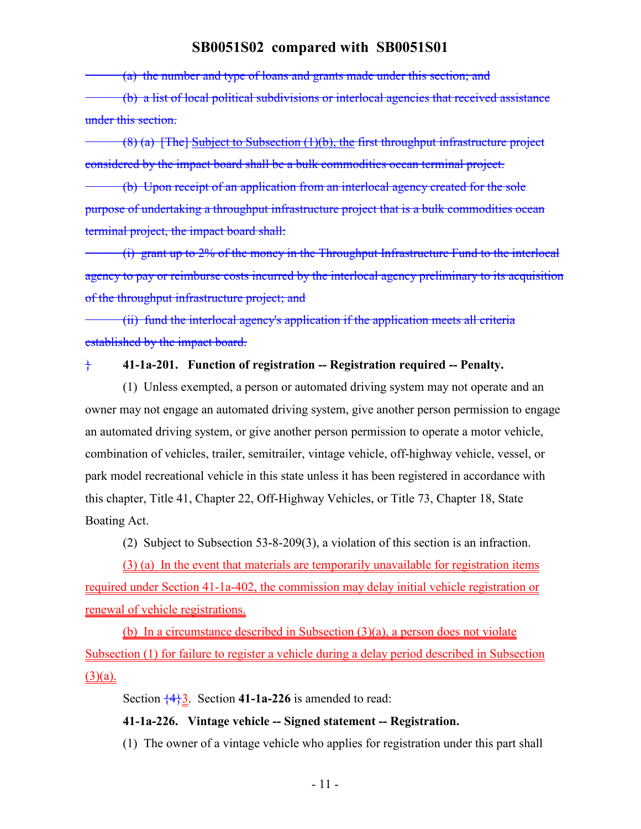(a) the number and type of loans and grants made under this section; and

(b) a list of local political subdivisions or interlocal agencies that received assistance under this section.

 $(8)$  (a) [The] Subject to Subsection (1)(b), the first throughput infrastructure project considered by the impact board shall be a bulk commodities ocean terminal project.

(b) Upon receipt of an application from an interlocal agency created for the sole purpose of undertaking a throughput infrastructure project that is a bulk commodities ocean terminal project, the impact board shall:

(i) grant up to 2% of the money in the Throughput Infrastructure Fund to the interlocal agency to pay or reimburse costs incurred by the interlocal agency preliminary to its acquisition of the throughput infrastructure project; and

(ii) fund the interlocal agency's application if the application meets all criteria established by the impact board.

### } **41-1a-201. Function of registration -- Registration required -- Penalty.**

(1) Unless exempted, a person or automated driving system may not operate and an owner may not engage an automated driving system, give another person permission to engage an automated driving system, or give another person permission to operate a motor vehicle, combination of vehicles, trailer, semitrailer, vintage vehicle, off-highway vehicle, vessel, or park model recreational vehicle in this state unless it has been registered in accordance with this chapter, Title 41, Chapter 22, Off-Highway Vehicles, or Title 73, Chapter 18, State Boating Act.

(2) Subject to Subsection 53-8-209(3), a violation of this section is an infraction.

(3) (a) In the event that materials are temporarily unavailable for registration items required under Section 41-1a-402, the commission may delay initial vehicle registration or renewal of vehicle registrations.

(b) In a circumstance described in Subsection (3)(a), a person does not violate Subsection (1) for failure to register a vehicle during a delay period described in Subsection  $(3)(a)$ .

Section {4}3. Section **41-1a-226** is amended to read:

#### **41-1a-226. Vintage vehicle -- Signed statement -- Registration.**

(1) The owner of a vintage vehicle who applies for registration under this part shall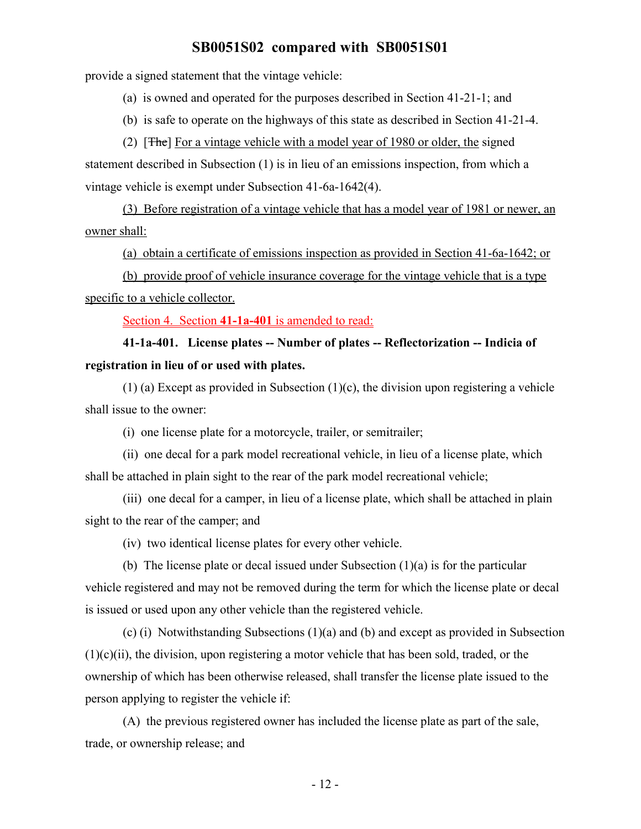provide a signed statement that the vintage vehicle:

(a) is owned and operated for the purposes described in Section 41-21-1; and

(b) is safe to operate on the highways of this state as described in Section 41-21-4.

(2) [The] For a vintage vehicle with a model year of 1980 or older, the signed statement described in Subsection (1) is in lieu of an emissions inspection, from which a vintage vehicle is exempt under Subsection 41-6a-1642(4).

(3) Before registration of a vintage vehicle that has a model year of 1981 or newer, an owner shall:

(a) obtain a certificate of emissions inspection as provided in Section 41-6a-1642; or

(b) provide proof of vehicle insurance coverage for the vintage vehicle that is a type specific to a vehicle collector.

Section 4. Section **41-1a-401** is amended to read:

**41-1a-401. License plates -- Number of plates -- Reflectorization -- Indicia of registration in lieu of or used with plates.**

(1) (a) Except as provided in Subsection  $(1)(c)$ , the division upon registering a vehicle shall issue to the owner:

(i) one license plate for a motorcycle, trailer, or semitrailer;

(ii) one decal for a park model recreational vehicle, in lieu of a license plate, which shall be attached in plain sight to the rear of the park model recreational vehicle;

(iii) one decal for a camper, in lieu of a license plate, which shall be attached in plain sight to the rear of the camper; and

(iv) two identical license plates for every other vehicle.

(b) The license plate or decal issued under Subsection (1)(a) is for the particular vehicle registered and may not be removed during the term for which the license plate or decal is issued or used upon any other vehicle than the registered vehicle.

(c) (i) Notwithstanding Subsections (1)(a) and (b) and except as provided in Subsection  $(1)(c)(ii)$ , the division, upon registering a motor vehicle that has been sold, traded, or the ownership of which has been otherwise released, shall transfer the license plate issued to the person applying to register the vehicle if:

(A) the previous registered owner has included the license plate as part of the sale, trade, or ownership release; and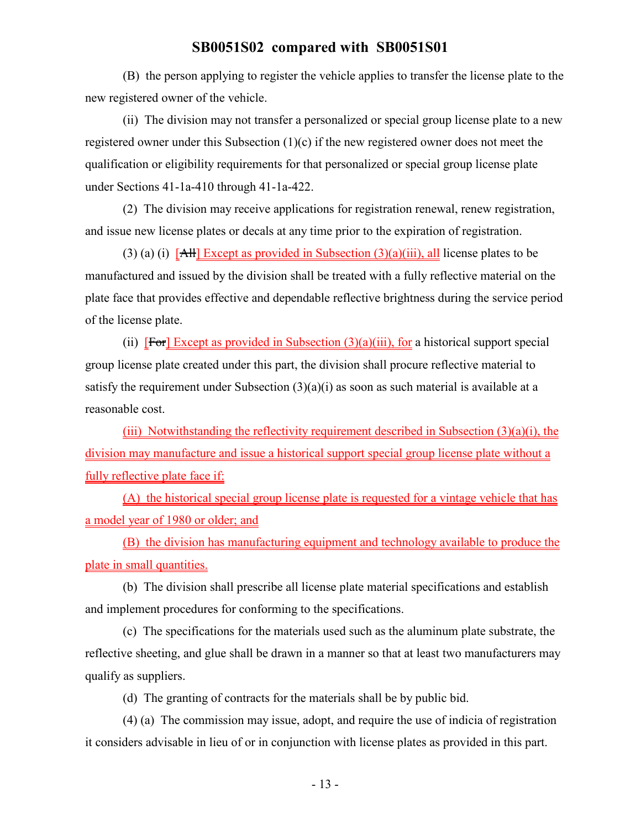(B) the person applying to register the vehicle applies to transfer the license plate to the new registered owner of the vehicle.

(ii) The division may not transfer a personalized or special group license plate to a new registered owner under this Subsection (1)(c) if the new registered owner does not meet the qualification or eligibility requirements for that personalized or special group license plate under Sections 41-1a-410 through 41-1a-422.

(2) The division may receive applications for registration renewal, renew registration, and issue new license plates or decals at any time prior to the expiration of registration.

(3) (a) (i)  $\left[ \frac{\text{AH}}{\text{H}} \right]$  Except as provided in Subsection (3)(a)(iii), all license plates to be manufactured and issued by the division shall be treated with a fully reflective material on the plate face that provides effective and dependable reflective brightness during the service period of the license plate.

(ii)  $[For] Except as provided in Subsection (3)(a)(iii)$ , for a historical support special group license plate created under this part, the division shall procure reflective material to satisfy the requirement under Subsection  $(3)(a)(i)$  as soon as such material is available at a reasonable cost.

(iii) Notwithstanding the reflectivity requirement described in Subsection  $(3)(a)(i)$ , the division may manufacture and issue a historical support special group license plate without a fully reflective plate face if:

(A) the historical special group license plate is requested for a vintage vehicle that has a model year of 1980 or older; and

(B) the division has manufacturing equipment and technology available to produce the plate in small quantities.

(b) The division shall prescribe all license plate material specifications and establish and implement procedures for conforming to the specifications.

(c) The specifications for the materials used such as the aluminum plate substrate, the reflective sheeting, and glue shall be drawn in a manner so that at least two manufacturers may qualify as suppliers.

(d) The granting of contracts for the materials shall be by public bid.

(4) (a) The commission may issue, adopt, and require the use of indicia of registration it considers advisable in lieu of or in conjunction with license plates as provided in this part.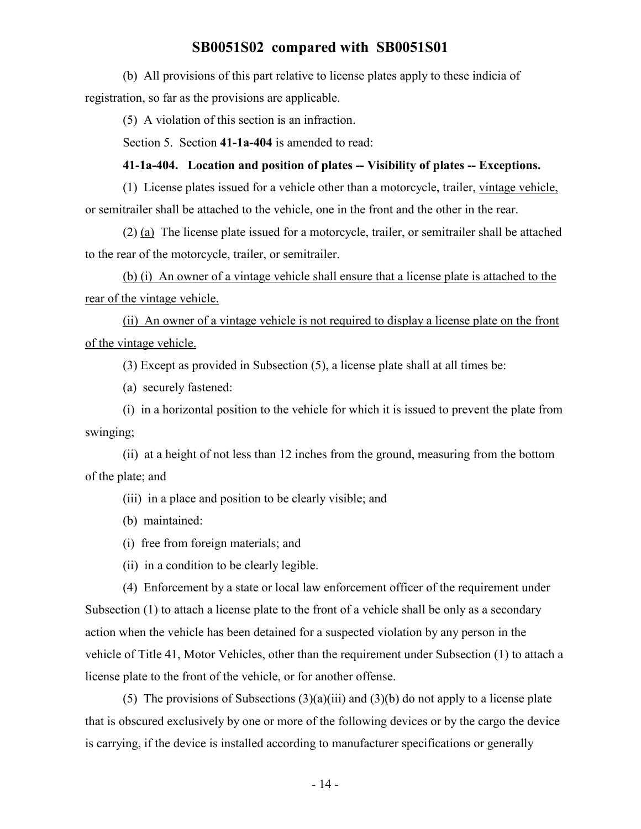(b) All provisions of this part relative to license plates apply to these indicia of registration, so far as the provisions are applicable.

(5) A violation of this section is an infraction.

Section 5. Section **41-1a-404** is amended to read:

#### **41-1a-404. Location and position of plates -- Visibility of plates -- Exceptions.**

(1) License plates issued for a vehicle other than a motorcycle, trailer, vintage vehicle, or semitrailer shall be attached to the vehicle, one in the front and the other in the rear.

(2) (a) The license plate issued for a motorcycle, trailer, or semitrailer shall be attached to the rear of the motorcycle, trailer, or semitrailer.

(b) (i) An owner of a vintage vehicle shall ensure that a license plate is attached to the rear of the vintage vehicle.

(ii) An owner of a vintage vehicle is not required to display a license plate on the front of the vintage vehicle.

(3) Except as provided in Subsection (5), a license plate shall at all times be:

(a) securely fastened:

(i) in a horizontal position to the vehicle for which it is issued to prevent the plate from swinging;

(ii) at a height of not less than 12 inches from the ground, measuring from the bottom of the plate; and

(iii) in a place and position to be clearly visible; and

(b) maintained:

(i) free from foreign materials; and

(ii) in a condition to be clearly legible.

(4) Enforcement by a state or local law enforcement officer of the requirement under Subsection (1) to attach a license plate to the front of a vehicle shall be only as a secondary action when the vehicle has been detained for a suspected violation by any person in the vehicle of Title 41, Motor Vehicles, other than the requirement under Subsection (1) to attach a license plate to the front of the vehicle, or for another offense.

(5) The provisions of Subsections  $(3)(a)(iii)$  and  $(3)(b)$  do not apply to a license plate that is obscured exclusively by one or more of the following devices or by the cargo the device is carrying, if the device is installed according to manufacturer specifications or generally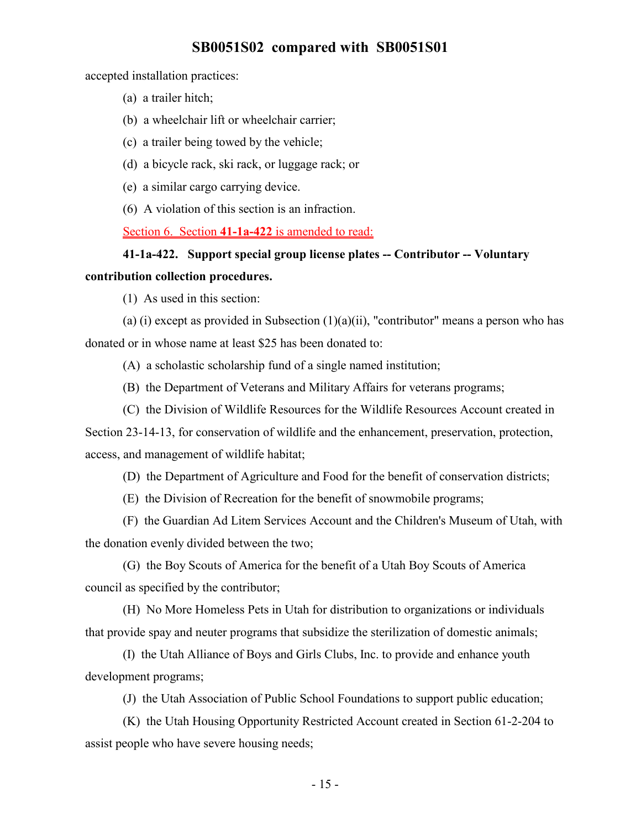accepted installation practices:

- (a) a trailer hitch;
- (b) a wheelchair lift or wheelchair carrier;
- (c) a trailer being towed by the vehicle;
- (d) a bicycle rack, ski rack, or luggage rack; or
- (e) a similar cargo carrying device.
- (6) A violation of this section is an infraction.

Section 6. Section **41-1a-422** is amended to read:

# **41-1a-422. Support special group license plates -- Contributor -- Voluntary**

## **contribution collection procedures.**

(1) As used in this section:

(a) (i) except as provided in Subsection  $(1)(a)(ii)$ , "contributor" means a person who has donated or in whose name at least \$25 has been donated to:

(A) a scholastic scholarship fund of a single named institution;

(B) the Department of Veterans and Military Affairs for veterans programs;

(C) the Division of Wildlife Resources for the Wildlife Resources Account created in

Section 23-14-13, for conservation of wildlife and the enhancement, preservation, protection, access, and management of wildlife habitat;

(D) the Department of Agriculture and Food for the benefit of conservation districts;

(E) the Division of Recreation for the benefit of snowmobile programs;

(F) the Guardian Ad Litem Services Account and the Children's Museum of Utah, with the donation evenly divided between the two;

(G) the Boy Scouts of America for the benefit of a Utah Boy Scouts of America council as specified by the contributor;

(H) No More Homeless Pets in Utah for distribution to organizations or individuals that provide spay and neuter programs that subsidize the sterilization of domestic animals;

(I) the Utah Alliance of Boys and Girls Clubs, Inc. to provide and enhance youth development programs;

(J) the Utah Association of Public School Foundations to support public education;

(K) the Utah Housing Opportunity Restricted Account created in Section 61-2-204 to assist people who have severe housing needs;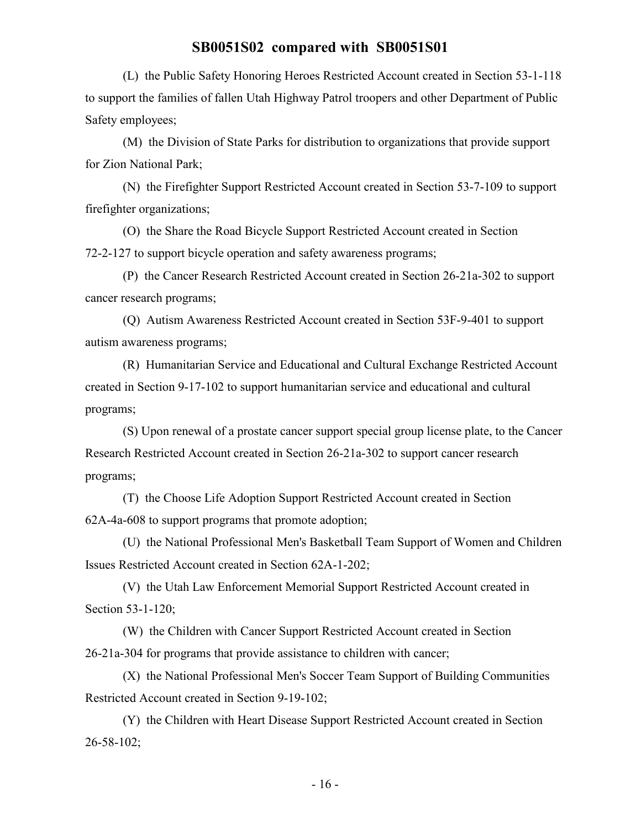(L) the Public Safety Honoring Heroes Restricted Account created in Section 53-1-118 to support the families of fallen Utah Highway Patrol troopers and other Department of Public Safety employees;

(M) the Division of State Parks for distribution to organizations that provide support for Zion National Park;

(N) the Firefighter Support Restricted Account created in Section 53-7-109 to support firefighter organizations;

(O) the Share the Road Bicycle Support Restricted Account created in Section 72-2-127 to support bicycle operation and safety awareness programs;

(P) the Cancer Research Restricted Account created in Section 26-21a-302 to support cancer research programs;

(Q) Autism Awareness Restricted Account created in Section 53F-9-401 to support autism awareness programs;

(R) Humanitarian Service and Educational and Cultural Exchange Restricted Account created in Section 9-17-102 to support humanitarian service and educational and cultural programs;

(S) Upon renewal of a prostate cancer support special group license plate, to the Cancer Research Restricted Account created in Section 26-21a-302 to support cancer research programs;

(T) the Choose Life Adoption Support Restricted Account created in Section 62A-4a-608 to support programs that promote adoption;

(U) the National Professional Men's Basketball Team Support of Women and Children Issues Restricted Account created in Section 62A-1-202;

(V) the Utah Law Enforcement Memorial Support Restricted Account created in Section 53-1-120;

(W) the Children with Cancer Support Restricted Account created in Section 26-21a-304 for programs that provide assistance to children with cancer;

(X) the National Professional Men's Soccer Team Support of Building Communities Restricted Account created in Section 9-19-102;

(Y) the Children with Heart Disease Support Restricted Account created in Section 26-58-102;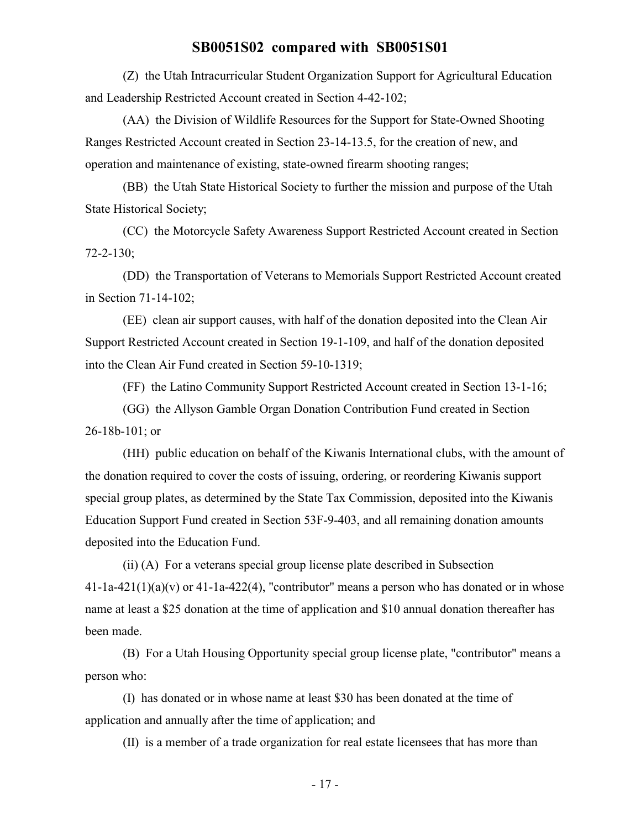(Z) the Utah Intracurricular Student Organization Support for Agricultural Education and Leadership Restricted Account created in Section 4-42-102;

(AA) the Division of Wildlife Resources for the Support for State-Owned Shooting Ranges Restricted Account created in Section 23-14-13.5, for the creation of new, and operation and maintenance of existing, state-owned firearm shooting ranges;

(BB) the Utah State Historical Society to further the mission and purpose of the Utah State Historical Society;

(CC) the Motorcycle Safety Awareness Support Restricted Account created in Section 72-2-130;

(DD) the Transportation of Veterans to Memorials Support Restricted Account created in Section 71-14-102;

(EE) clean air support causes, with half of the donation deposited into the Clean Air Support Restricted Account created in Section 19-1-109, and half of the donation deposited into the Clean Air Fund created in Section 59-10-1319;

(FF) the Latino Community Support Restricted Account created in Section 13-1-16;

(GG) the Allyson Gamble Organ Donation Contribution Fund created in Section 26-18b-101; or

(HH) public education on behalf of the Kiwanis International clubs, with the amount of the donation required to cover the costs of issuing, ordering, or reordering Kiwanis support special group plates, as determined by the State Tax Commission, deposited into the Kiwanis Education Support Fund created in Section 53F-9-403, and all remaining donation amounts deposited into the Education Fund.

(ii) (A) For a veterans special group license plate described in Subsection  $41$ -1a- $421(1)(a)(v)$  or  $41$ -1a- $422(4)$ , "contributor" means a person who has donated or in whose name at least a \$25 donation at the time of application and \$10 annual donation thereafter has been made.

(B) For a Utah Housing Opportunity special group license plate, "contributor" means a person who:

(I) has donated or in whose name at least \$30 has been donated at the time of application and annually after the time of application; and

(II) is a member of a trade organization for real estate licensees that has more than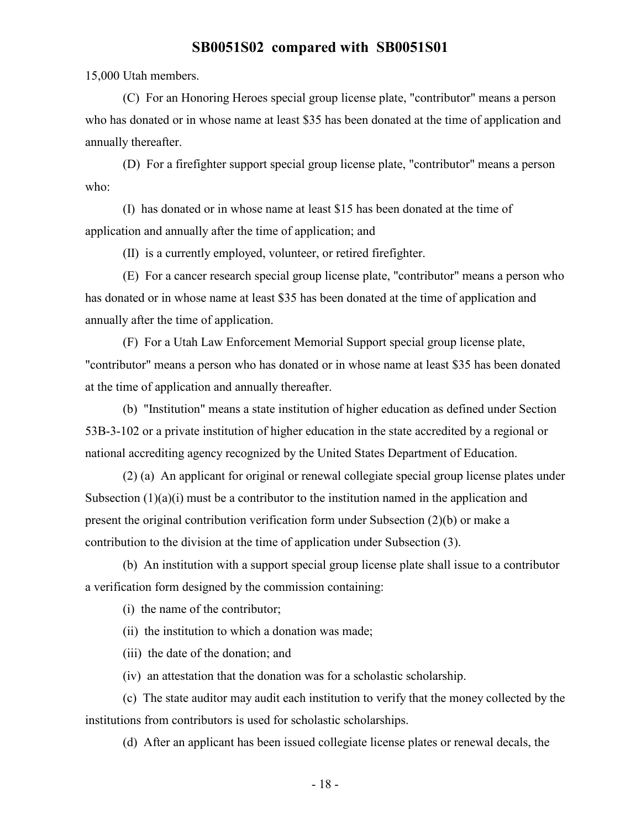15,000 Utah members.

(C) For an Honoring Heroes special group license plate, "contributor" means a person who has donated or in whose name at least \$35 has been donated at the time of application and annually thereafter.

(D) For a firefighter support special group license plate, "contributor" means a person who:

(I) has donated or in whose name at least \$15 has been donated at the time of application and annually after the time of application; and

(II) is a currently employed, volunteer, or retired firefighter.

(E) For a cancer research special group license plate, "contributor" means a person who has donated or in whose name at least \$35 has been donated at the time of application and annually after the time of application.

(F) For a Utah Law Enforcement Memorial Support special group license plate, "contributor" means a person who has donated or in whose name at least \$35 has been donated at the time of application and annually thereafter.

(b) "Institution" means a state institution of higher education as defined under Section 53B-3-102 or a private institution of higher education in the state accredited by a regional or national accrediting agency recognized by the United States Department of Education.

(2) (a) An applicant for original or renewal collegiate special group license plates under Subsection  $(1)(a)(i)$  must be a contributor to the institution named in the application and present the original contribution verification form under Subsection (2)(b) or make a contribution to the division at the time of application under Subsection (3).

(b) An institution with a support special group license plate shall issue to a contributor a verification form designed by the commission containing:

(i) the name of the contributor;

(ii) the institution to which a donation was made;

(iii) the date of the donation; and

(iv) an attestation that the donation was for a scholastic scholarship.

(c) The state auditor may audit each institution to verify that the money collected by the institutions from contributors is used for scholastic scholarships.

(d) After an applicant has been issued collegiate license plates or renewal decals, the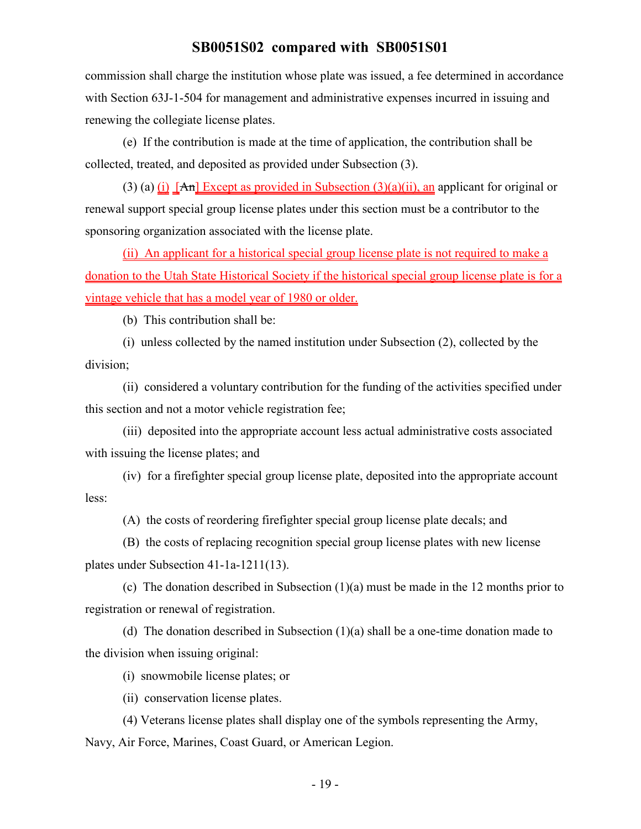commission shall charge the institution whose plate was issued, a fee determined in accordance with Section 63J-1-504 for management and administrative expenses incurred in issuing and renewing the collegiate license plates.

(e) If the contribution is made at the time of application, the contribution shall be collected, treated, and deposited as provided under Subsection (3).

(3) (a) (i)  $[An]$  Except as provided in Subsection (3)(a)(ii), an applicant for original or renewal support special group license plates under this section must be a contributor to the sponsoring organization associated with the license plate.

(ii) An applicant for a historical special group license plate is not required to make a donation to the Utah State Historical Society if the historical special group license plate is for a vintage vehicle that has a model year of 1980 or older.

(b) This contribution shall be:

(i) unless collected by the named institution under Subsection (2), collected by the division;

(ii) considered a voluntary contribution for the funding of the activities specified under this section and not a motor vehicle registration fee;

(iii) deposited into the appropriate account less actual administrative costs associated with issuing the license plates; and

(iv) for a firefighter special group license plate, deposited into the appropriate account less:

(A) the costs of reordering firefighter special group license plate decals; and

(B) the costs of replacing recognition special group license plates with new license plates under Subsection 41-1a-1211(13).

(c) The donation described in Subsection (1)(a) must be made in the 12 months prior to registration or renewal of registration.

(d) The donation described in Subsection (1)(a) shall be a one-time donation made to the division when issuing original:

(i) snowmobile license plates; or

(ii) conservation license plates.

(4) Veterans license plates shall display one of the symbols representing the Army, Navy, Air Force, Marines, Coast Guard, or American Legion.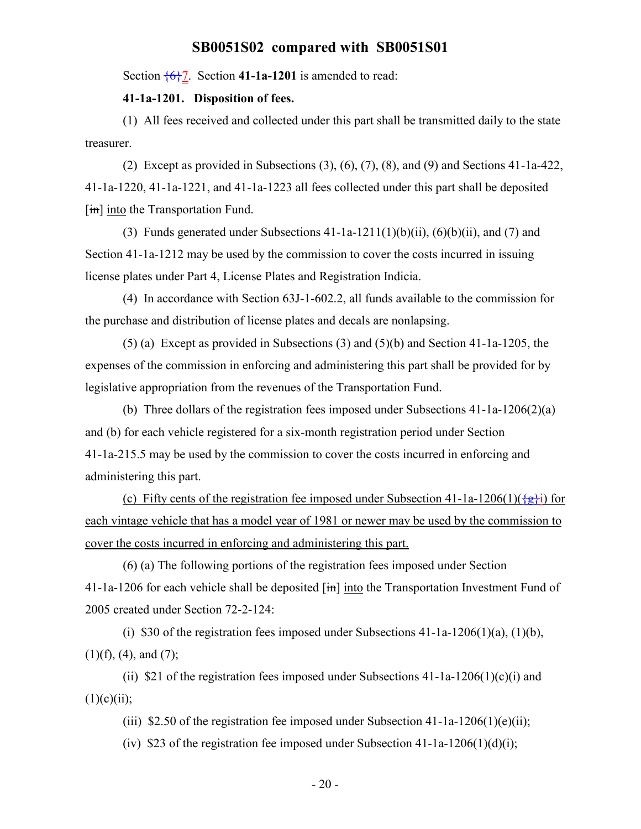Section  $\overline{\{6\}}$ 7. Section **41-1a-1201** is amended to read:

#### **41-1a-1201. Disposition of fees.**

(1) All fees received and collected under this part shall be transmitted daily to the state treasurer.

(2) Except as provided in Subsections (3), (6), (7), (8), and (9) and Sections 41-1a-422, 41-1a-1220, 41-1a-1221, and 41-1a-1223 all fees collected under this part shall be deposited  $[\overline{\text{im}}]$  into the Transportation Fund.

(3) Funds generated under Subsections  $41$ -1a-1211(1)(b)(ii), (6)(b)(ii), and (7) and Section 41-1a-1212 may be used by the commission to cover the costs incurred in issuing license plates under Part 4, License Plates and Registration Indicia.

(4) In accordance with Section 63J-1-602.2, all funds available to the commission for the purchase and distribution of license plates and decals are nonlapsing.

(5) (a) Except as provided in Subsections (3) and (5)(b) and Section 41-1a-1205, the expenses of the commission in enforcing and administering this part shall be provided for by legislative appropriation from the revenues of the Transportation Fund.

(b) Three dollars of the registration fees imposed under Subsections 41-1a-1206(2)(a) and (b) for each vehicle registered for a six-month registration period under Section 41-1a-215.5 may be used by the commission to cover the costs incurred in enforcing and administering this part.

(c) Fifty cents of the registration fee imposed under Subsection 41-1a-1206(1)( $\frac{1}{2}$ i) for each vintage vehicle that has a model year of 1981 or newer may be used by the commission to cover the costs incurred in enforcing and administering this part.

(6) (a) The following portions of the registration fees imposed under Section 41-1a-1206 for each vehicle shall be deposited  $\overline{[m]}$  into the Transportation Investment Fund of 2005 created under Section 72-2-124:

(i) \$30 of the registration fees imposed under Subsections  $41$ -1a-1206(1)(a), (1)(b),  $(1)(f)$ ,  $(4)$ , and  $(7)$ ;

(ii) \$21 of the registration fees imposed under Subsections  $41$ -1a-1206(1)(c)(i) and  $(1)(c)(ii);$ 

(iii) \$2.50 of the registration fee imposed under Subsection 41-1a-1206(1)(e)(ii);

(iv) \$23 of the registration fee imposed under Subsection 41-1a-1206(1)(d)(i);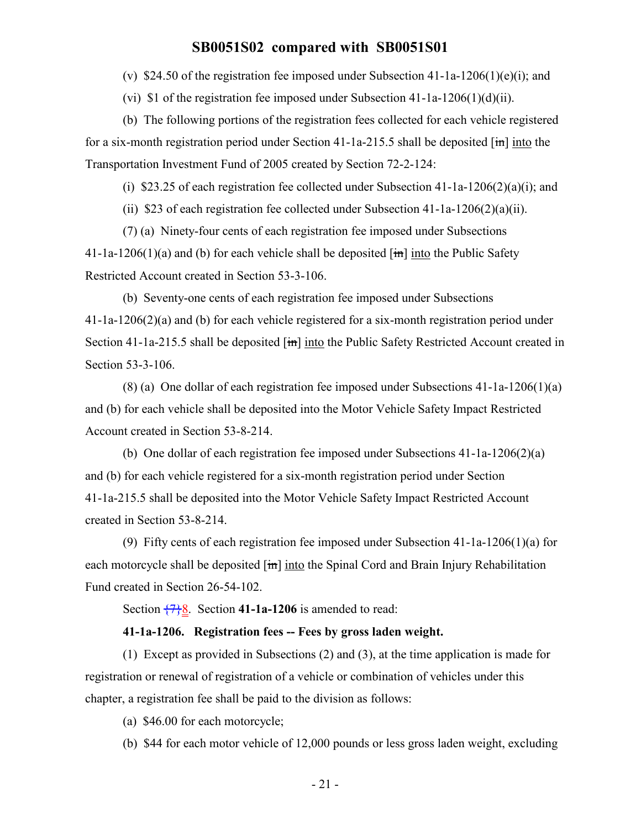(v) \$24.50 of the registration fee imposed under Subsection 41-1a-1206(1)(e)(i); and

(vi) \$1 of the registration fee imposed under Subsection  $41$ -1a-1206(1)(d)(ii).

(b) The following portions of the registration fees collected for each vehicle registered for a six-month registration period under Section 41-1a-215.5 shall be deposited  $\overline{[m]}$  into the Transportation Investment Fund of 2005 created by Section 72-2-124:

(i) \$23.25 of each registration fee collected under Subsection 41-1a-1206(2)(a)(i); and

(ii) \$23 of each registration fee collected under Subsection  $41$ -1a-1206(2)(a)(ii).

(7) (a) Ninety-four cents of each registration fee imposed under Subsections 41-1a-1206(1)(a) and (b) for each vehicle shall be deposited  $\lim$  into the Public Safety Restricted Account created in Section 53-3-106.

(b) Seventy-one cents of each registration fee imposed under Subsections 41-1a-1206(2)(a) and (b) for each vehicle registered for a six-month registration period under Section 41-1a-215.5 shall be deposited  $\overline{\text{im}}$  into the Public Safety Restricted Account created in Section 53-3-106.

(8) (a) One dollar of each registration fee imposed under Subsections 41-1a-1206(1)(a) and (b) for each vehicle shall be deposited into the Motor Vehicle Safety Impact Restricted Account created in Section 53-8-214.

(b) One dollar of each registration fee imposed under Subsections 41-1a-1206(2)(a) and (b) for each vehicle registered for a six-month registration period under Section 41-1a-215.5 shall be deposited into the Motor Vehicle Safety Impact Restricted Account created in Section 53-8-214.

(9) Fifty cents of each registration fee imposed under Subsection 41-1a-1206(1)(a) for each motorcycle shall be deposited  $\left[\frac{1}{n}\right]$  into the Spinal Cord and Brain Injury Rehabilitation Fund created in Section 26-54-102.

Section  $\frac{7}{28}$ . Section 41-1a-1206 is amended to read:

#### **41-1a-1206. Registration fees -- Fees by gross laden weight.**

(1) Except as provided in Subsections (2) and (3), at the time application is made for registration or renewal of registration of a vehicle or combination of vehicles under this chapter, a registration fee shall be paid to the division as follows:

(a) \$46.00 for each motorcycle;

(b) \$44 for each motor vehicle of 12,000 pounds or less gross laden weight, excluding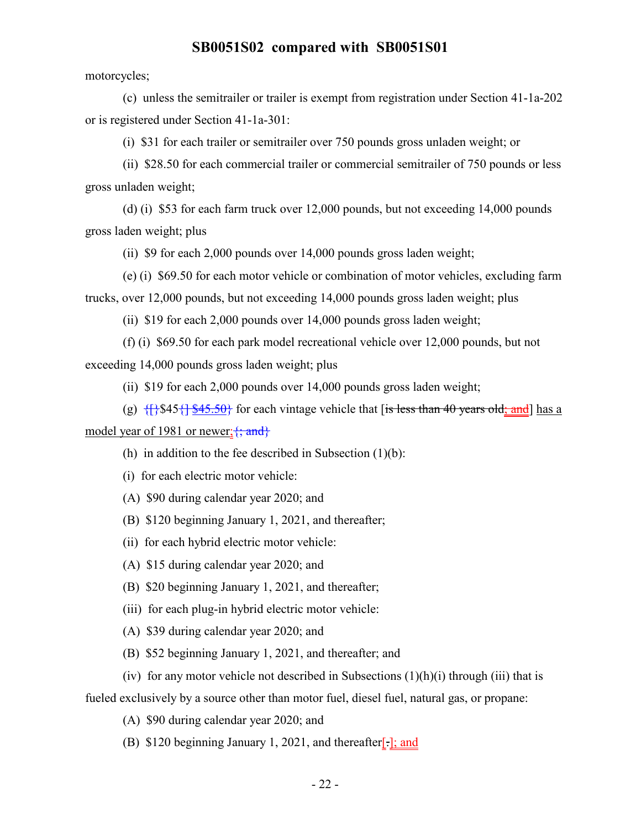motorcycles;

(c) unless the semitrailer or trailer is exempt from registration under Section 41-1a-202 or is registered under Section 41-1a-301:

(i) \$31 for each trailer or semitrailer over 750 pounds gross unladen weight; or

(ii) \$28.50 for each commercial trailer or commercial semitrailer of 750 pounds or less gross unladen weight;

(d) (i) \$53 for each farm truck over 12,000 pounds, but not exceeding 14,000 pounds gross laden weight; plus

(ii) \$9 for each 2,000 pounds over 14,000 pounds gross laden weight;

(e) (i) \$69.50 for each motor vehicle or combination of motor vehicles, excluding farm trucks, over 12,000 pounds, but not exceeding 14,000 pounds gross laden weight; plus

(ii) \$19 for each 2,000 pounds over 14,000 pounds gross laden weight;

(f) (i) \$69.50 for each park model recreational vehicle over 12,000 pounds, but not exceeding 14,000 pounds gross laden weight; plus

(ii) \$19 for each 2,000 pounds over 14,000 pounds gross laden weight;

(g)  $\{\{\}\$ \$45 $\{\}\$ \$45.50}</sub> for each vintage vehicle that [is less than 40 years old; and ] has a model year of 1981 or newer;  $\{; \text{and} \}$ 

(h) in addition to the fee described in Subsection  $(1)(b)$ :

(i) for each electric motor vehicle:

(A) \$90 during calendar year 2020; and

(B) \$120 beginning January 1, 2021, and thereafter;

(ii) for each hybrid electric motor vehicle:

(A) \$15 during calendar year 2020; and

(B) \$20 beginning January 1, 2021, and thereafter;

(iii) for each plug-in hybrid electric motor vehicle:

(A) \$39 during calendar year 2020; and

(B) \$52 beginning January 1, 2021, and thereafter; and

(iv) for any motor vehicle not described in Subsections  $(1)(h)(i)$  through (iii) that is

fueled exclusively by a source other than motor fuel, diesel fuel, natural gas, or propane:

(A) \$90 during calendar year 2020; and

(B) \$120 beginning January 1, 2021, and thereafter[.]; and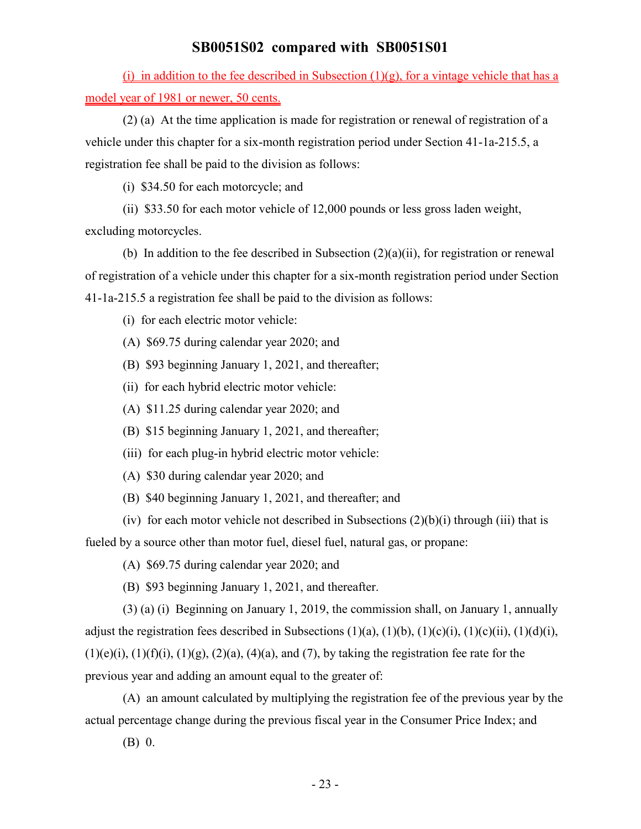(i) in addition to the fee described in Subsection  $(1)(g)$ , for a vintage vehicle that has a model year of 1981 or newer, 50 cents.

(2) (a) At the time application is made for registration or renewal of registration of a vehicle under this chapter for a six-month registration period under Section 41-1a-215.5, a registration fee shall be paid to the division as follows:

(i) \$34.50 for each motorcycle; and

(ii) \$33.50 for each motor vehicle of 12,000 pounds or less gross laden weight,

excluding motorcycles.

(b) In addition to the fee described in Subsection  $(2)(a)(ii)$ , for registration or renewal of registration of a vehicle under this chapter for a six-month registration period under Section 41-1a-215.5 a registration fee shall be paid to the division as follows:

(i) for each electric motor vehicle:

- (A) \$69.75 during calendar year 2020; and
- (B) \$93 beginning January 1, 2021, and thereafter;
- (ii) for each hybrid electric motor vehicle:
- (A) \$11.25 during calendar year 2020; and
- (B) \$15 beginning January 1, 2021, and thereafter;
- (iii) for each plug-in hybrid electric motor vehicle:
- (A) \$30 during calendar year 2020; and
- (B) \$40 beginning January 1, 2021, and thereafter; and
- (iv) for each motor vehicle not described in Subsections  $(2)(b)(i)$  through (iii) that is fueled by a source other than motor fuel, diesel fuel, natural gas, or propane:

(A) \$69.75 during calendar year 2020; and

(B) \$93 beginning January 1, 2021, and thereafter.

(3) (a) (i) Beginning on January 1, 2019, the commission shall, on January 1, annually adjust the registration fees described in Subsections  $(1)(a)$ ,  $(1)(b)$ ,  $(1)(c)(i)$ ,  $(1)(c)(ii)$ ,  $(1)(d)(i)$ ,  $(1)(e)(i)$ ,  $(1)(f)(i)$ ,  $(1)(g)$ ,  $(2)(a)$ ,  $(4)(a)$ , and  $(7)$ , by taking the registration fee rate for the previous year and adding an amount equal to the greater of:

(A) an amount calculated by multiplying the registration fee of the previous year by the actual percentage change during the previous fiscal year in the Consumer Price Index; and

(B) 0.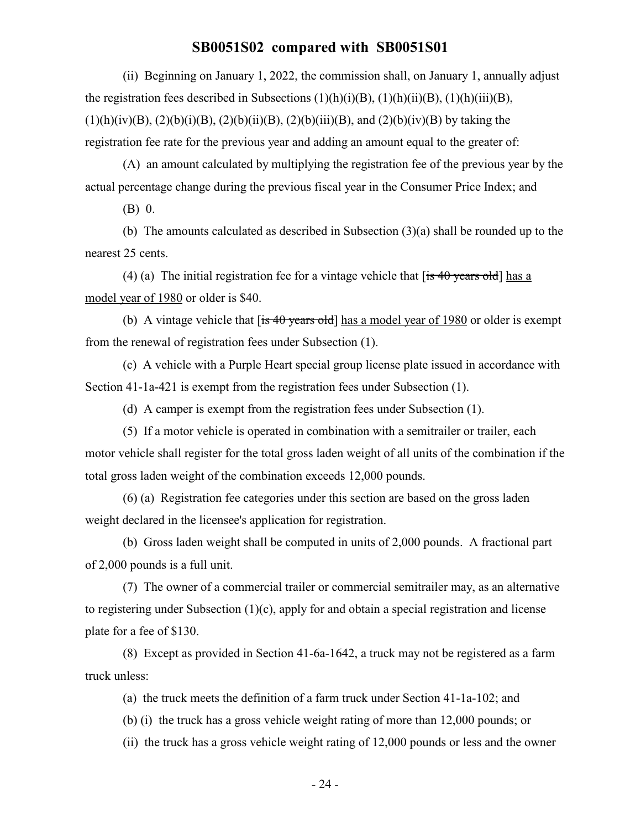(ii) Beginning on January 1, 2022, the commission shall, on January 1, annually adjust the registration fees described in Subsections  $(1)(h)(i)(B)$ ,  $(1)(h)(ii)(B)$ ,  $(1)(h)(iii)(B)$ ,  $(1)(h)(iv)(B), (2)(b)(i)(B), (2)(b)(ii)(B), (2)(b)(iii)(B), and (2)(b)(iv)(B) by taking the$ registration fee rate for the previous year and adding an amount equal to the greater of:

(A) an amount calculated by multiplying the registration fee of the previous year by the actual percentage change during the previous fiscal year in the Consumer Price Index; and

(B) 0.

(b) The amounts calculated as described in Subsection (3)(a) shall be rounded up to the nearest 25 cents.

(4) (a) The initial registration fee for a vintage vehicle that  $[i\sin 40 \text{ years old}]$  has a model year of 1980 or older is \$40.

(b) A vintage vehicle that  $[is 40 years old]$  has a model year of 1980 or older is exempt from the renewal of registration fees under Subsection (1).

(c) A vehicle with a Purple Heart special group license plate issued in accordance with Section 41-1a-421 is exempt from the registration fees under Subsection (1).

(d) A camper is exempt from the registration fees under Subsection (1).

(5) If a motor vehicle is operated in combination with a semitrailer or trailer, each motor vehicle shall register for the total gross laden weight of all units of the combination if the total gross laden weight of the combination exceeds 12,000 pounds.

(6) (a) Registration fee categories under this section are based on the gross laden weight declared in the licensee's application for registration.

(b) Gross laden weight shall be computed in units of 2,000 pounds. A fractional part of 2,000 pounds is a full unit.

(7) The owner of a commercial trailer or commercial semitrailer may, as an alternative to registering under Subsection (1)(c), apply for and obtain a special registration and license plate for a fee of \$130.

(8) Except as provided in Section 41-6a-1642, a truck may not be registered as a farm truck unless:

(a) the truck meets the definition of a farm truck under Section 41-1a-102; and

(b) (i) the truck has a gross vehicle weight rating of more than 12,000 pounds; or

(ii) the truck has a gross vehicle weight rating of 12,000 pounds or less and the owner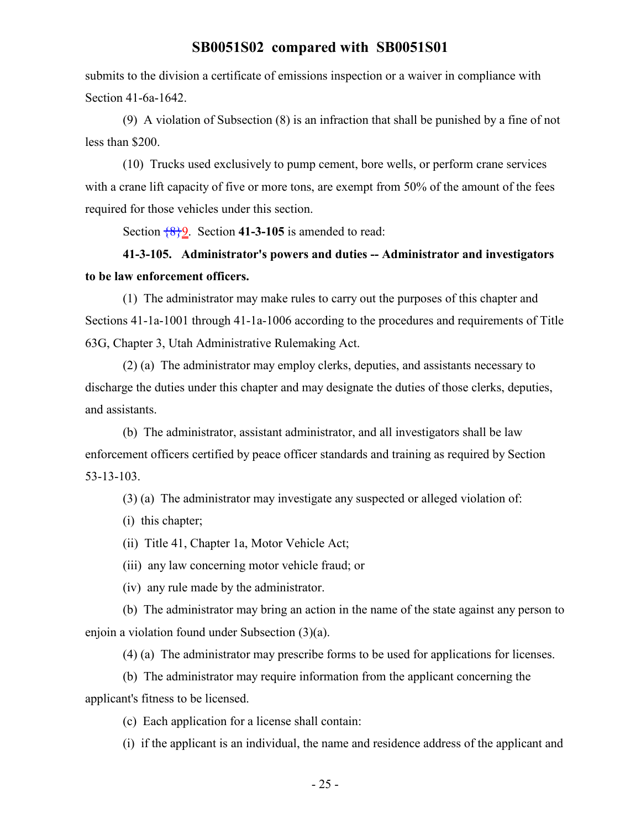submits to the division a certificate of emissions inspection or a waiver in compliance with Section 41-6a-1642.

(9) A violation of Subsection (8) is an infraction that shall be punished by a fine of not less than \$200.

(10) Trucks used exclusively to pump cement, bore wells, or perform crane services with a crane lift capacity of five or more tons, are exempt from 50% of the amount of the fees required for those vehicles under this section.

Section {8}9. Section **41-3-105** is amended to read:

# **41-3-105. Administrator's powers and duties -- Administrator and investigators to be law enforcement officers.**

(1) The administrator may make rules to carry out the purposes of this chapter and Sections 41-1a-1001 through 41-1a-1006 according to the procedures and requirements of Title 63G, Chapter 3, Utah Administrative Rulemaking Act.

(2) (a) The administrator may employ clerks, deputies, and assistants necessary to discharge the duties under this chapter and may designate the duties of those clerks, deputies, and assistants.

(b) The administrator, assistant administrator, and all investigators shall be law enforcement officers certified by peace officer standards and training as required by Section 53-13-103.

(3) (a) The administrator may investigate any suspected or alleged violation of:

(i) this chapter;

(ii) Title 41, Chapter 1a, Motor Vehicle Act;

(iii) any law concerning motor vehicle fraud; or

(iv) any rule made by the administrator.

(b) The administrator may bring an action in the name of the state against any person to enjoin a violation found under Subsection (3)(a).

(4) (a) The administrator may prescribe forms to be used for applications for licenses.

(b) The administrator may require information from the applicant concerning the applicant's fitness to be licensed.

(c) Each application for a license shall contain:

(i) if the applicant is an individual, the name and residence address of the applicant and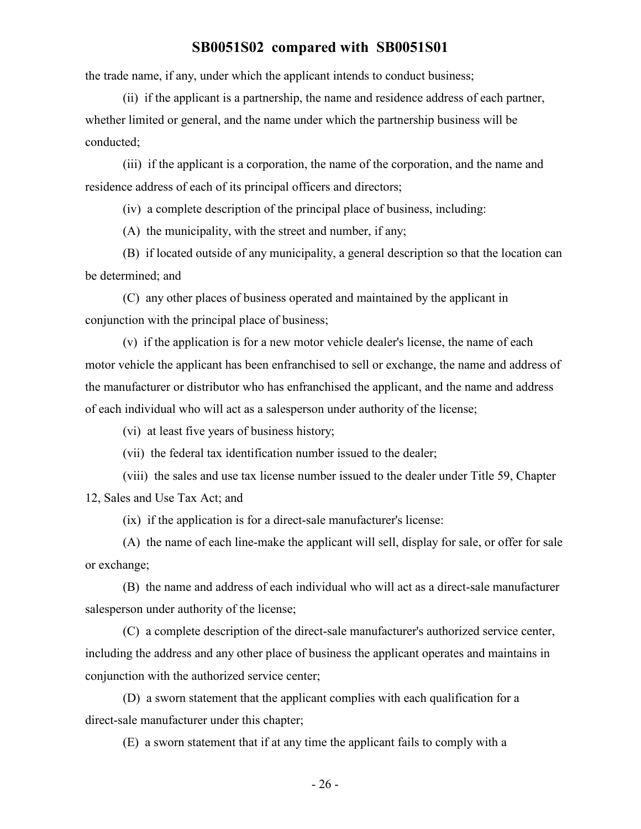the trade name, if any, under which the applicant intends to conduct business;

(ii) if the applicant is a partnership, the name and residence address of each partner, whether limited or general, and the name under which the partnership business will be conducted;

(iii) if the applicant is a corporation, the name of the corporation, and the name and residence address of each of its principal officers and directors;

(iv) a complete description of the principal place of business, including:

(A) the municipality, with the street and number, if any;

(B) if located outside of any municipality, a general description so that the location can be determined; and

(C) any other places of business operated and maintained by the applicant in conjunction with the principal place of business;

(v) if the application is for a new motor vehicle dealer's license, the name of each motor vehicle the applicant has been enfranchised to sell or exchange, the name and address of the manufacturer or distributor who has enfranchised the applicant, and the name and address of each individual who will act as a salesperson under authority of the license;

(vi) at least five years of business history;

(vii) the federal tax identification number issued to the dealer;

(viii) the sales and use tax license number issued to the dealer under Title 59, Chapter 12, Sales and Use Tax Act; and

(ix) if the application is for a direct-sale manufacturer's license:

(A) the name of each line-make the applicant will sell, display for sale, or offer for sale or exchange;

(B) the name and address of each individual who will act as a direct-sale manufacturer salesperson under authority of the license;

(C) a complete description of the direct-sale manufacturer's authorized service center, including the address and any other place of business the applicant operates and maintains in conjunction with the authorized service center;

(D) a sworn statement that the applicant complies with each qualification for a direct-sale manufacturer under this chapter;

(E) a sworn statement that if at any time the applicant fails to comply with a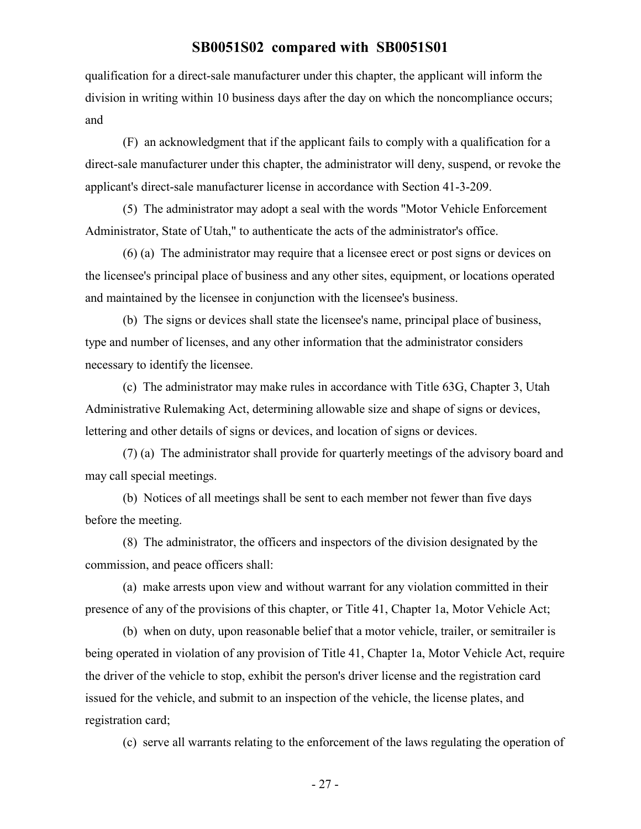qualification for a direct-sale manufacturer under this chapter, the applicant will inform the division in writing within 10 business days after the day on which the noncompliance occurs; and

(F) an acknowledgment that if the applicant fails to comply with a qualification for a direct-sale manufacturer under this chapter, the administrator will deny, suspend, or revoke the applicant's direct-sale manufacturer license in accordance with Section 41-3-209.

(5) The administrator may adopt a seal with the words "Motor Vehicle Enforcement Administrator, State of Utah," to authenticate the acts of the administrator's office.

(6) (a) The administrator may require that a licensee erect or post signs or devices on the licensee's principal place of business and any other sites, equipment, or locations operated and maintained by the licensee in conjunction with the licensee's business.

(b) The signs or devices shall state the licensee's name, principal place of business, type and number of licenses, and any other information that the administrator considers necessary to identify the licensee.

(c) The administrator may make rules in accordance with Title 63G, Chapter 3, Utah Administrative Rulemaking Act, determining allowable size and shape of signs or devices, lettering and other details of signs or devices, and location of signs or devices.

(7) (a) The administrator shall provide for quarterly meetings of the advisory board and may call special meetings.

(b) Notices of all meetings shall be sent to each member not fewer than five days before the meeting.

(8) The administrator, the officers and inspectors of the division designated by the commission, and peace officers shall:

(a) make arrests upon view and without warrant for any violation committed in their presence of any of the provisions of this chapter, or Title 41, Chapter 1a, Motor Vehicle Act;

(b) when on duty, upon reasonable belief that a motor vehicle, trailer, or semitrailer is being operated in violation of any provision of Title 41, Chapter 1a, Motor Vehicle Act, require the driver of the vehicle to stop, exhibit the person's driver license and the registration card issued for the vehicle, and submit to an inspection of the vehicle, the license plates, and registration card;

(c) serve all warrants relating to the enforcement of the laws regulating the operation of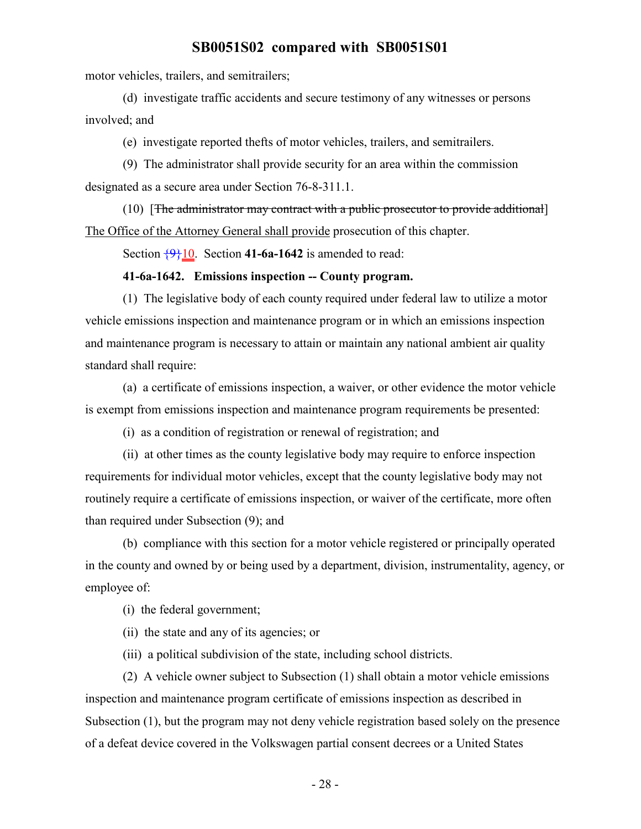motor vehicles, trailers, and semitrailers;

(d) investigate traffic accidents and secure testimony of any witnesses or persons involved; and

(e) investigate reported thefts of motor vehicles, trailers, and semitrailers.

(9) The administrator shall provide security for an area within the commission designated as a secure area under Section 76-8-311.1.

(10) [The administrator may contract with a public prosecutor to provide additional] The Office of the Attorney General shall provide prosecution of this chapter.

Section  $\frac{9}{10}$ . Section **41-6a-1642** is amended to read:

#### **41-6a-1642. Emissions inspection -- County program.**

(1) The legislative body of each county required under federal law to utilize a motor vehicle emissions inspection and maintenance program or in which an emissions inspection and maintenance program is necessary to attain or maintain any national ambient air quality standard shall require:

(a) a certificate of emissions inspection, a waiver, or other evidence the motor vehicle is exempt from emissions inspection and maintenance program requirements be presented:

(i) as a condition of registration or renewal of registration; and

(ii) at other times as the county legislative body may require to enforce inspection requirements for individual motor vehicles, except that the county legislative body may not routinely require a certificate of emissions inspection, or waiver of the certificate, more often than required under Subsection (9); and

(b) compliance with this section for a motor vehicle registered or principally operated in the county and owned by or being used by a department, division, instrumentality, agency, or employee of:

(i) the federal government;

(ii) the state and any of its agencies; or

(iii) a political subdivision of the state, including school districts.

(2) A vehicle owner subject to Subsection (1) shall obtain a motor vehicle emissions inspection and maintenance program certificate of emissions inspection as described in Subsection (1), but the program may not deny vehicle registration based solely on the presence of a defeat device covered in the Volkswagen partial consent decrees or a United States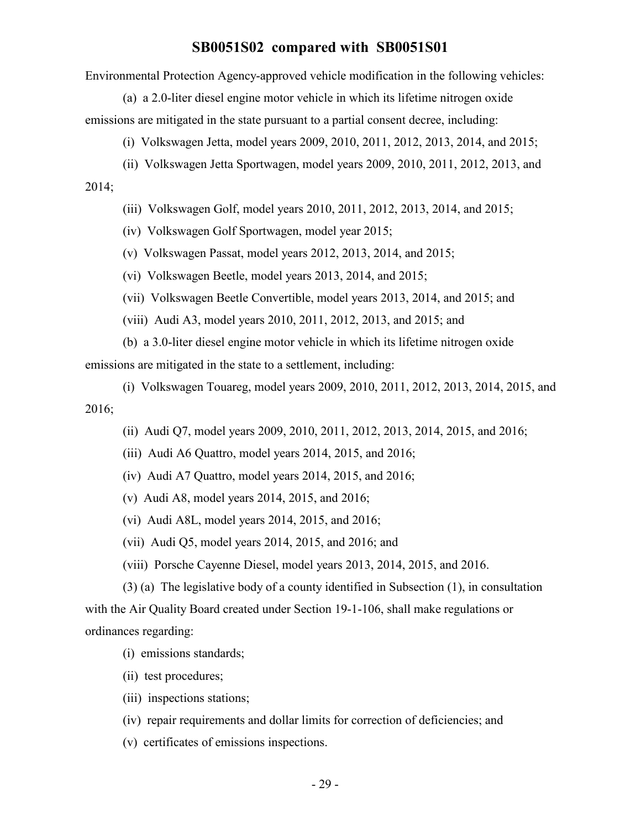Environmental Protection Agency-approved vehicle modification in the following vehicles:

(a) a 2.0-liter diesel engine motor vehicle in which its lifetime nitrogen oxide emissions are mitigated in the state pursuant to a partial consent decree, including:

(i) Volkswagen Jetta, model years 2009, 2010, 2011, 2012, 2013, 2014, and 2015;

(ii) Volkswagen Jetta Sportwagen, model years 2009, 2010, 2011, 2012, 2013, and

2014;

(iii) Volkswagen Golf, model years 2010, 2011, 2012, 2013, 2014, and 2015;

(iv) Volkswagen Golf Sportwagen, model year 2015;

(v) Volkswagen Passat, model years 2012, 2013, 2014, and 2015;

(vi) Volkswagen Beetle, model years 2013, 2014, and 2015;

(vii) Volkswagen Beetle Convertible, model years 2013, 2014, and 2015; and

(viii) Audi A3, model years 2010, 2011, 2012, 2013, and 2015; and

(b) a 3.0-liter diesel engine motor vehicle in which its lifetime nitrogen oxide emissions are mitigated in the state to a settlement, including:

(i) Volkswagen Touareg, model years 2009, 2010, 2011, 2012, 2013, 2014, 2015, and 2016;

(ii) Audi Q7, model years 2009, 2010, 2011, 2012, 2013, 2014, 2015, and 2016;

(iii) Audi A6 Quattro, model years 2014, 2015, and 2016;

(iv) Audi A7 Quattro, model years 2014, 2015, and 2016;

(v) Audi A8, model years 2014, 2015, and 2016;

(vi) Audi A8L, model years 2014, 2015, and 2016;

(vii) Audi Q5, model years 2014, 2015, and 2016; and

(viii) Porsche Cayenne Diesel, model years 2013, 2014, 2015, and 2016.

(3) (a) The legislative body of a county identified in Subsection (1), in consultation with the Air Quality Board created under Section 19-1-106, shall make regulations or ordinances regarding:

(i) emissions standards;

(ii) test procedures;

(iii) inspections stations;

(iv) repair requirements and dollar limits for correction of deficiencies; and

(v) certificates of emissions inspections.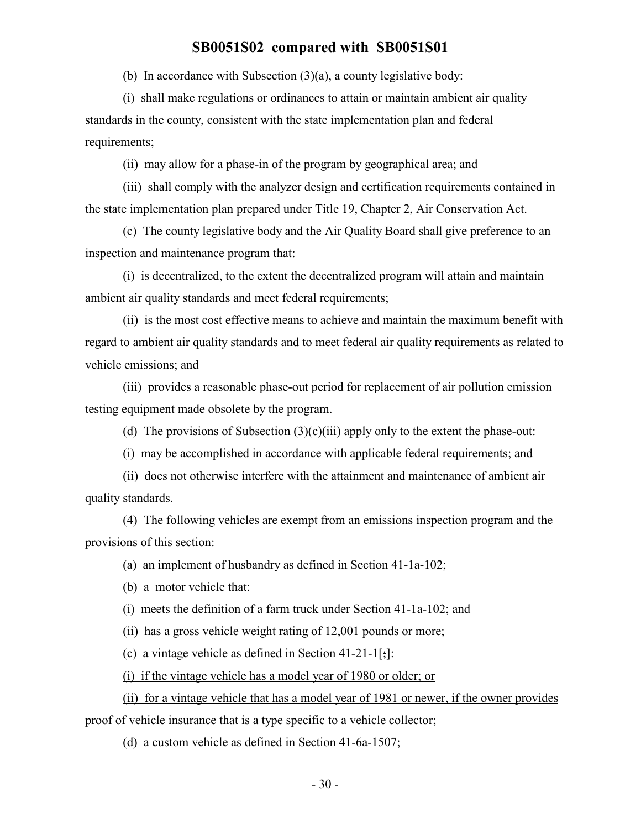(b) In accordance with Subsection (3)(a), a county legislative body:

(i) shall make regulations or ordinances to attain or maintain ambient air quality standards in the county, consistent with the state implementation plan and federal requirements;

(ii) may allow for a phase-in of the program by geographical area; and

(iii) shall comply with the analyzer design and certification requirements contained in the state implementation plan prepared under Title 19, Chapter 2, Air Conservation Act.

(c) The county legislative body and the Air Quality Board shall give preference to an inspection and maintenance program that:

(i) is decentralized, to the extent the decentralized program will attain and maintain ambient air quality standards and meet federal requirements;

(ii) is the most cost effective means to achieve and maintain the maximum benefit with regard to ambient air quality standards and to meet federal air quality requirements as related to vehicle emissions; and

(iii) provides a reasonable phase-out period for replacement of air pollution emission testing equipment made obsolete by the program.

(d) The provisions of Subsection  $(3)(c)(iii)$  apply only to the extent the phase-out:

(i) may be accomplished in accordance with applicable federal requirements; and

(ii) does not otherwise interfere with the attainment and maintenance of ambient air quality standards.

(4) The following vehicles are exempt from an emissions inspection program and the provisions of this section:

(a) an implement of husbandry as defined in Section 41-1a-102;

(b) a motor vehicle that:

(i) meets the definition of a farm truck under Section 41-1a-102; and

(ii) has a gross vehicle weight rating of 12,001 pounds or more;

(c) a vintage vehicle as defined in Section 41-21-1[;]:

(i) if the vintage vehicle has a model year of 1980 or older; or

(ii) for a vintage vehicle that has a model year of 1981 or newer, if the owner provides proof of vehicle insurance that is a type specific to a vehicle collector;

(d) a custom vehicle as defined in Section 41-6a-1507;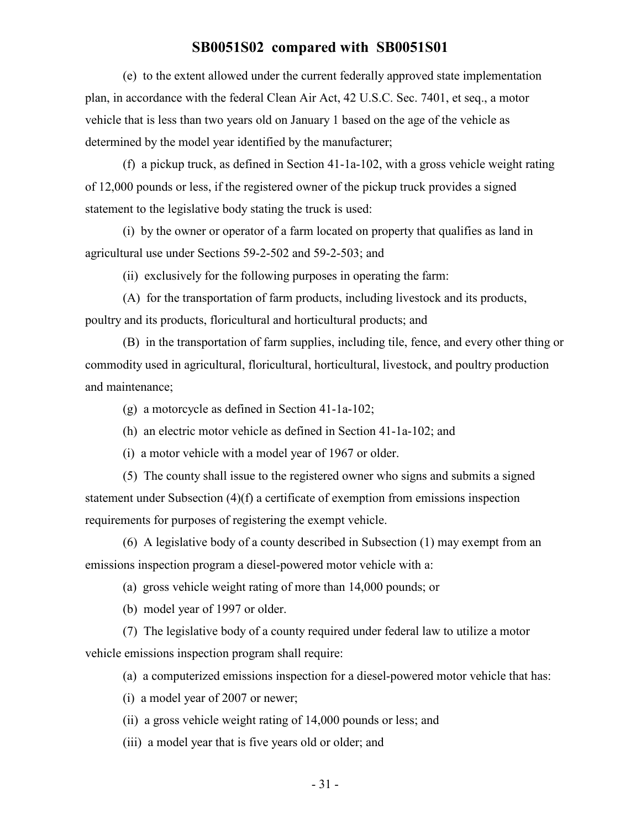(e) to the extent allowed under the current federally approved state implementation plan, in accordance with the federal Clean Air Act, 42 U.S.C. Sec. 7401, et seq., a motor vehicle that is less than two years old on January 1 based on the age of the vehicle as determined by the model year identified by the manufacturer;

(f) a pickup truck, as defined in Section 41-1a-102, with a gross vehicle weight rating of 12,000 pounds or less, if the registered owner of the pickup truck provides a signed statement to the legislative body stating the truck is used:

(i) by the owner or operator of a farm located on property that qualifies as land in agricultural use under Sections 59-2-502 and 59-2-503; and

(ii) exclusively for the following purposes in operating the farm:

(A) for the transportation of farm products, including livestock and its products, poultry and its products, floricultural and horticultural products; and

(B) in the transportation of farm supplies, including tile, fence, and every other thing or commodity used in agricultural, floricultural, horticultural, livestock, and poultry production and maintenance;

(g) a motorcycle as defined in Section 41-1a-102;

(h) an electric motor vehicle as defined in Section 41-1a-102; and

(i) a motor vehicle with a model year of 1967 or older.

(5) The county shall issue to the registered owner who signs and submits a signed statement under Subsection (4)(f) a certificate of exemption from emissions inspection requirements for purposes of registering the exempt vehicle.

(6) A legislative body of a county described in Subsection (1) may exempt from an emissions inspection program a diesel-powered motor vehicle with a:

(a) gross vehicle weight rating of more than 14,000 pounds; or

(b) model year of 1997 or older.

(7) The legislative body of a county required under federal law to utilize a motor vehicle emissions inspection program shall require:

(a) a computerized emissions inspection for a diesel-powered motor vehicle that has:

(i) a model year of 2007 or newer;

(ii) a gross vehicle weight rating of 14,000 pounds or less; and

(iii) a model year that is five years old or older; and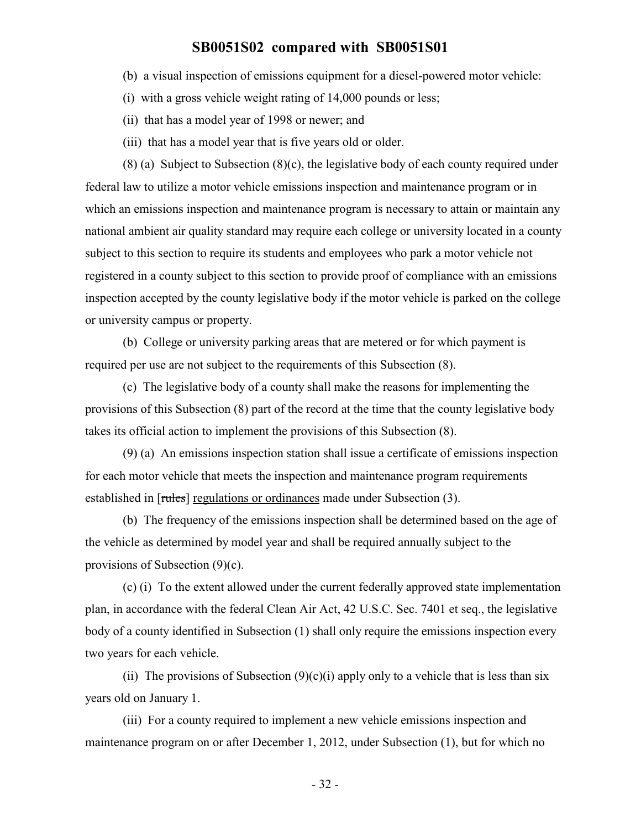- (b) a visual inspection of emissions equipment for a diesel-powered motor vehicle:
- (i) with a gross vehicle weight rating of 14,000 pounds or less;
- (ii) that has a model year of 1998 or newer; and
- (iii) that has a model year that is five years old or older.

(8) (a) Subject to Subsection (8)(c), the legislative body of each county required under federal law to utilize a motor vehicle emissions inspection and maintenance program or in which an emissions inspection and maintenance program is necessary to attain or maintain any national ambient air quality standard may require each college or university located in a county subject to this section to require its students and employees who park a motor vehicle not registered in a county subject to this section to provide proof of compliance with an emissions inspection accepted by the county legislative body if the motor vehicle is parked on the college or university campus or property.

(b) College or university parking areas that are metered or for which payment is required per use are not subject to the requirements of this Subsection (8).

(c) The legislative body of a county shall make the reasons for implementing the provisions of this Subsection (8) part of the record at the time that the county legislative body takes its official action to implement the provisions of this Subsection (8).

(9) (a) An emissions inspection station shall issue a certificate of emissions inspection for each motor vehicle that meets the inspection and maintenance program requirements established in [rules] regulations or ordinances made under Subsection (3).

(b) The frequency of the emissions inspection shall be determined based on the age of the vehicle as determined by model year and shall be required annually subject to the provisions of Subsection (9)(c).

(c) (i) To the extent allowed under the current federally approved state implementation plan, in accordance with the federal Clean Air Act, 42 U.S.C. Sec. 7401 et seq., the legislative body of a county identified in Subsection (1) shall only require the emissions inspection every two years for each vehicle.

(ii) The provisions of Subsection  $(9)(c)(i)$  apply only to a vehicle that is less than six years old on January 1.

(iii) For a county required to implement a new vehicle emissions inspection and maintenance program on or after December 1, 2012, under Subsection (1), but for which no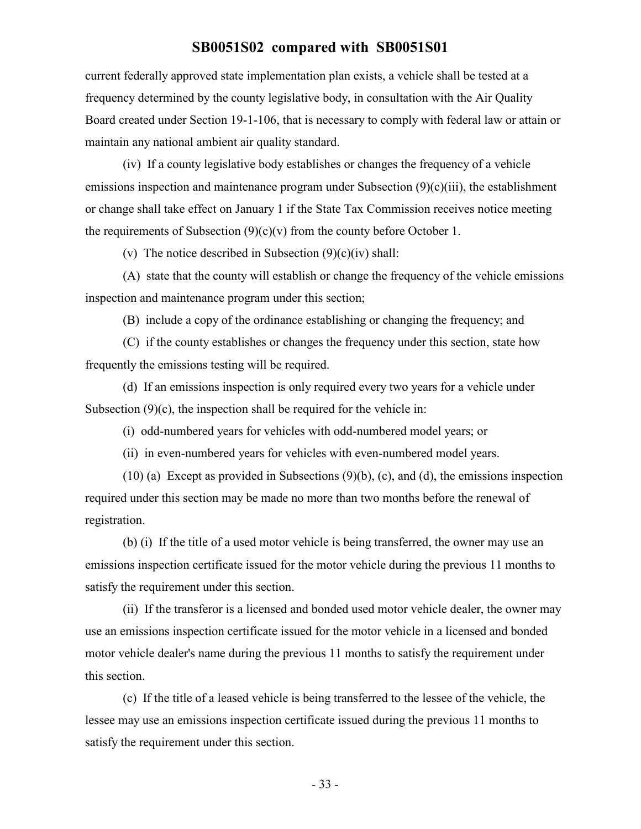current federally approved state implementation plan exists, a vehicle shall be tested at a frequency determined by the county legislative body, in consultation with the Air Quality Board created under Section 19-1-106, that is necessary to comply with federal law or attain or maintain any national ambient air quality standard.

(iv) If a county legislative body establishes or changes the frequency of a vehicle emissions inspection and maintenance program under Subsection (9)(c)(iii), the establishment or change shall take effect on January 1 if the State Tax Commission receives notice meeting the requirements of Subsection  $(9)(c)(v)$  from the county before October 1.

(v) The notice described in Subsection  $(9)(c)(iv)$  shall:

(A) state that the county will establish or change the frequency of the vehicle emissions inspection and maintenance program under this section;

(B) include a copy of the ordinance establishing or changing the frequency; and

(C) if the county establishes or changes the frequency under this section, state how frequently the emissions testing will be required.

(d) If an emissions inspection is only required every two years for a vehicle under Subsection  $(9)(c)$ , the inspection shall be required for the vehicle in:

(i) odd-numbered years for vehicles with odd-numbered model years; or

(ii) in even-numbered years for vehicles with even-numbered model years.

 $(10)$  (a) Except as provided in Subsections  $(9)(b)$ , (c), and (d), the emissions inspection required under this section may be made no more than two months before the renewal of registration.

(b) (i) If the title of a used motor vehicle is being transferred, the owner may use an emissions inspection certificate issued for the motor vehicle during the previous 11 months to satisfy the requirement under this section.

(ii) If the transferor is a licensed and bonded used motor vehicle dealer, the owner may use an emissions inspection certificate issued for the motor vehicle in a licensed and bonded motor vehicle dealer's name during the previous 11 months to satisfy the requirement under this section.

(c) If the title of a leased vehicle is being transferred to the lessee of the vehicle, the lessee may use an emissions inspection certificate issued during the previous 11 months to satisfy the requirement under this section.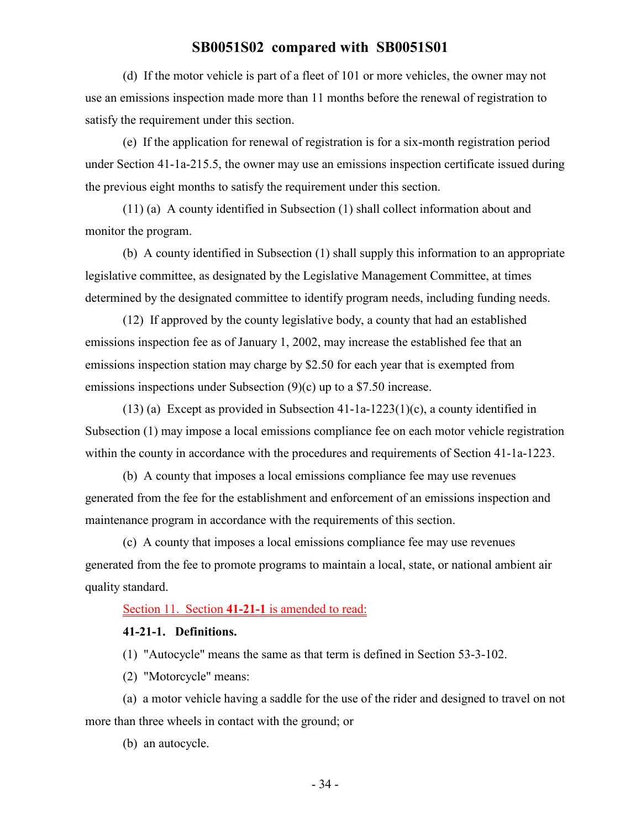(d) If the motor vehicle is part of a fleet of 101 or more vehicles, the owner may not use an emissions inspection made more than 11 months before the renewal of registration to satisfy the requirement under this section.

(e) If the application for renewal of registration is for a six-month registration period under Section 41-1a-215.5, the owner may use an emissions inspection certificate issued during the previous eight months to satisfy the requirement under this section.

(11) (a) A county identified in Subsection (1) shall collect information about and monitor the program.

(b) A county identified in Subsection (1) shall supply this information to an appropriate legislative committee, as designated by the Legislative Management Committee, at times determined by the designated committee to identify program needs, including funding needs.

(12) If approved by the county legislative body, a county that had an established emissions inspection fee as of January 1, 2002, may increase the established fee that an emissions inspection station may charge by \$2.50 for each year that is exempted from emissions inspections under Subsection (9)(c) up to a \$7.50 increase.

(13) (a) Except as provided in Subsection 41-1a-1223(1)(c), a county identified in Subsection (1) may impose a local emissions compliance fee on each motor vehicle registration within the county in accordance with the procedures and requirements of Section 41-1a-1223.

(b) A county that imposes a local emissions compliance fee may use revenues generated from the fee for the establishment and enforcement of an emissions inspection and maintenance program in accordance with the requirements of this section.

(c) A county that imposes a local emissions compliance fee may use revenues generated from the fee to promote programs to maintain a local, state, or national ambient air quality standard.

Section 11. Section **41-21-1** is amended to read:

#### **41-21-1. Definitions.**

(1) "Autocycle" means the same as that term is defined in Section 53-3-102.

(2) "Motorcycle" means:

(a) a motor vehicle having a saddle for the use of the rider and designed to travel on not more than three wheels in contact with the ground; or

(b) an autocycle.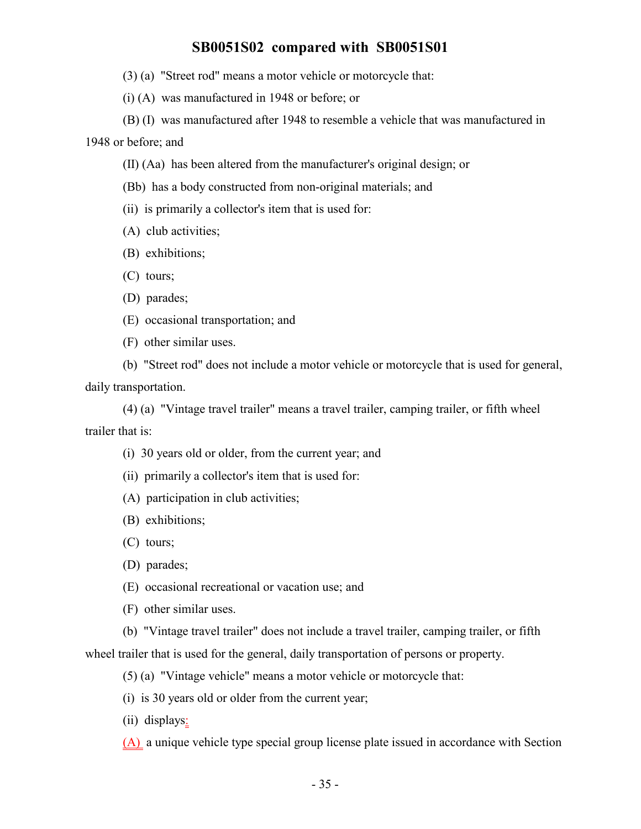- (3) (a) "Street rod" means a motor vehicle or motorcycle that:
- (i) (A) was manufactured in 1948 or before; or

(B) (I) was manufactured after 1948 to resemble a vehicle that was manufactured in 1948 or before; and

- (II) (Aa) has been altered from the manufacturer's original design; or
- (Bb) has a body constructed from non-original materials; and
- (ii) is primarily a collector's item that is used for:
- (A) club activities;
- (B) exhibitions;
- (C) tours;
- (D) parades;
- (E) occasional transportation; and
- (F) other similar uses.

(b) "Street rod" does not include a motor vehicle or motorcycle that is used for general, daily transportation.

(4) (a) "Vintage travel trailer" means a travel trailer, camping trailer, or fifth wheel trailer that is:

- (i) 30 years old or older, from the current year; and
- (ii) primarily a collector's item that is used for:
- (A) participation in club activities;
- (B) exhibitions;
- (C) tours;
- (D) parades;
- (E) occasional recreational or vacation use; and
- (F) other similar uses.
- (b) "Vintage travel trailer" does not include a travel trailer, camping trailer, or fifth

wheel trailer that is used for the general, daily transportation of persons or property.

(5) (a) "Vintage vehicle" means a motor vehicle or motorcycle that:

- (i) is 30 years old or older from the current year;
- (ii) displays:

(A) a unique vehicle type special group license plate issued in accordance with Section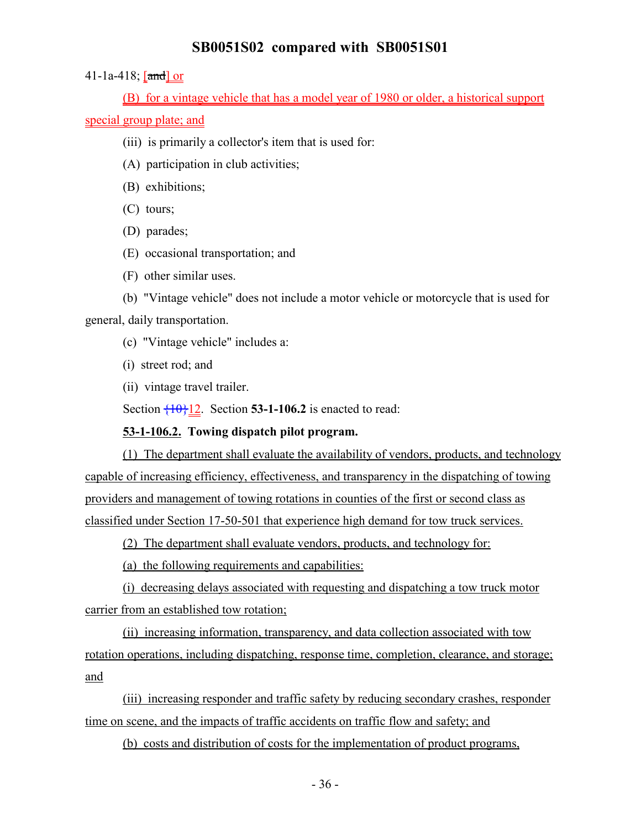41-1a-418; [and] or

(B) for a vintage vehicle that has a model year of 1980 or older, a historical support special group plate; and

(iii) is primarily a collector's item that is used for:

(A) participation in club activities;

(B) exhibitions;

(C) tours;

(D) parades;

(E) occasional transportation; and

(F) other similar uses.

(b) "Vintage vehicle" does not include a motor vehicle or motorcycle that is used for general, daily transportation.

(c) "Vintage vehicle" includes a:

(i) street rod; and

(ii) vintage travel trailer.

Section  $\{10\}$ 12. Section **53-1-106.2** is enacted to read:

#### **53-1-106.2. Towing dispatch pilot program.**

(1) The department shall evaluate the availability of vendors, products, and technology capable of increasing efficiency, effectiveness, and transparency in the dispatching of towing providers and management of towing rotations in counties of the first or second class as classified under Section 17-50-501 that experience high demand for tow truck services.

(2) The department shall evaluate vendors, products, and technology for:

(a) the following requirements and capabilities:

(i) decreasing delays associated with requesting and dispatching a tow truck motor carrier from an established tow rotation;

(ii) increasing information, transparency, and data collection associated with tow rotation operations, including dispatching, response time, completion, clearance, and storage; and

(iii) increasing responder and traffic safety by reducing secondary crashes, responder time on scene, and the impacts of traffic accidents on traffic flow and safety; and

(b) costs and distribution of costs for the implementation of product programs,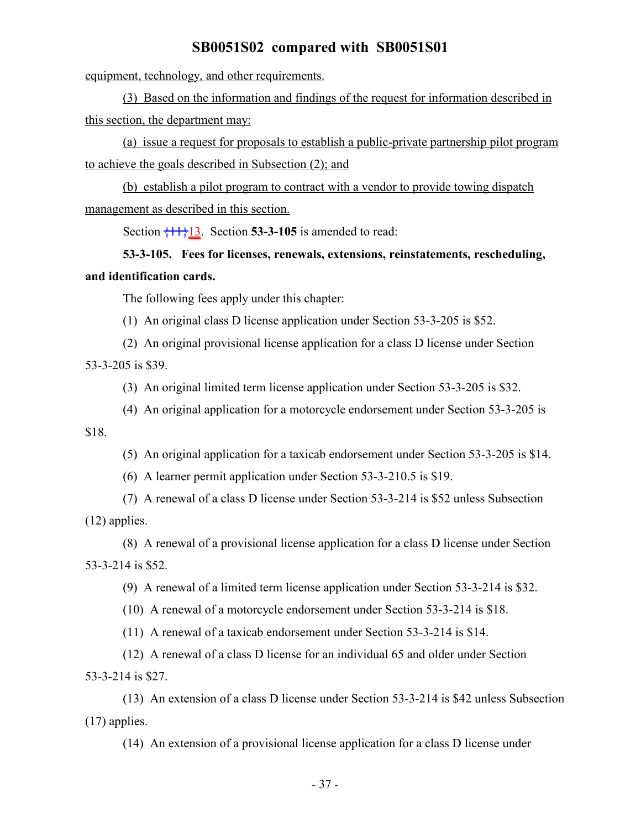equipment, technology, and other requirements.

(3) Based on the information and findings of the request for information described in this section, the department may:

(a) issue a request for proposals to establish a public-private partnership pilot program to achieve the goals described in Subsection (2); and

(b) establish a pilot program to contract with a vendor to provide towing dispatch management as described in this section.

Section  $\overline{11}\overline{1}13$ . Section **53-3-105** is amended to read:

# **53-3-105. Fees for licenses, renewals, extensions, reinstatements, rescheduling, and identification cards.**

The following fees apply under this chapter:

(1) An original class D license application under Section 53-3-205 is \$52.

(2) An original provisional license application for a class D license under Section 53-3-205 is \$39.

(3) An original limited term license application under Section 53-3-205 is \$32.

(4) An original application for a motorcycle endorsement under Section 53-3-205 is

\$18.

- (5) An original application for a taxicab endorsement under Section 53-3-205 is \$14.
- (6) A learner permit application under Section 53-3-210.5 is \$19.

(7) A renewal of a class D license under Section 53-3-214 is \$52 unless Subsection (12) applies.

(8) A renewal of a provisional license application for a class D license under Section 53-3-214 is \$52.

(9) A renewal of a limited term license application under Section 53-3-214 is \$32.

(10) A renewal of a motorcycle endorsement under Section 53-3-214 is \$18.

(11) A renewal of a taxicab endorsement under Section 53-3-214 is \$14.

(12) A renewal of a class D license for an individual 65 and older under Section 53-3-214 is \$27.

(13) An extension of a class D license under Section 53-3-214 is \$42 unless Subsection (17) applies.

(14) An extension of a provisional license application for a class D license under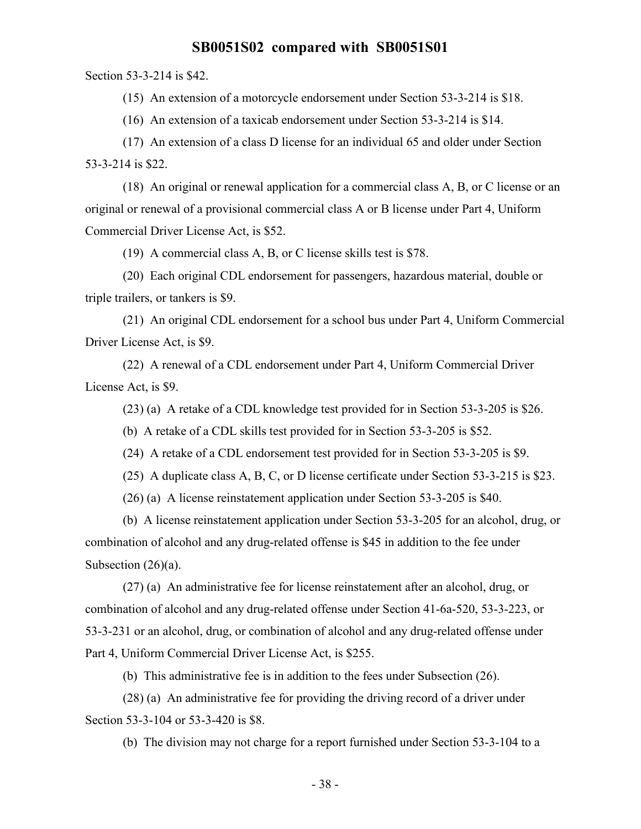Section 53-3-214 is \$42.

(15) An extension of a motorcycle endorsement under Section 53-3-214 is \$18.

(16) An extension of a taxicab endorsement under Section 53-3-214 is \$14.

(17) An extension of a class D license for an individual 65 and older under Section 53-3-214 is \$22.

(18) An original or renewal application for a commercial class A, B, or C license or an original or renewal of a provisional commercial class A or B license under Part 4, Uniform Commercial Driver License Act, is \$52.

(19) A commercial class A, B, or C license skills test is \$78.

(20) Each original CDL endorsement for passengers, hazardous material, double or triple trailers, or tankers is \$9.

(21) An original CDL endorsement for a school bus under Part 4, Uniform Commercial Driver License Act, is \$9.

(22) A renewal of a CDL endorsement under Part 4, Uniform Commercial Driver License Act, is \$9.

(23) (a) A retake of a CDL knowledge test provided for in Section 53-3-205 is \$26.

(b) A retake of a CDL skills test provided for in Section 53-3-205 is \$52.

(24) A retake of a CDL endorsement test provided for in Section 53-3-205 is \$9.

(25) A duplicate class A, B, C, or D license certificate under Section 53-3-215 is \$23.

(26) (a) A license reinstatement application under Section 53-3-205 is \$40.

(b) A license reinstatement application under Section 53-3-205 for an alcohol, drug, or combination of alcohol and any drug-related offense is \$45 in addition to the fee under Subsection  $(26)(a)$ .

(27) (a) An administrative fee for license reinstatement after an alcohol, drug, or combination of alcohol and any drug-related offense under Section 41-6a-520, 53-3-223, or 53-3-231 or an alcohol, drug, or combination of alcohol and any drug-related offense under Part 4, Uniform Commercial Driver License Act, is \$255.

(b) This administrative fee is in addition to the fees under Subsection (26).

(28) (a) An administrative fee for providing the driving record of a driver under Section 53-3-104 or 53-3-420 is \$8.

(b) The division may not charge for a report furnished under Section 53-3-104 to a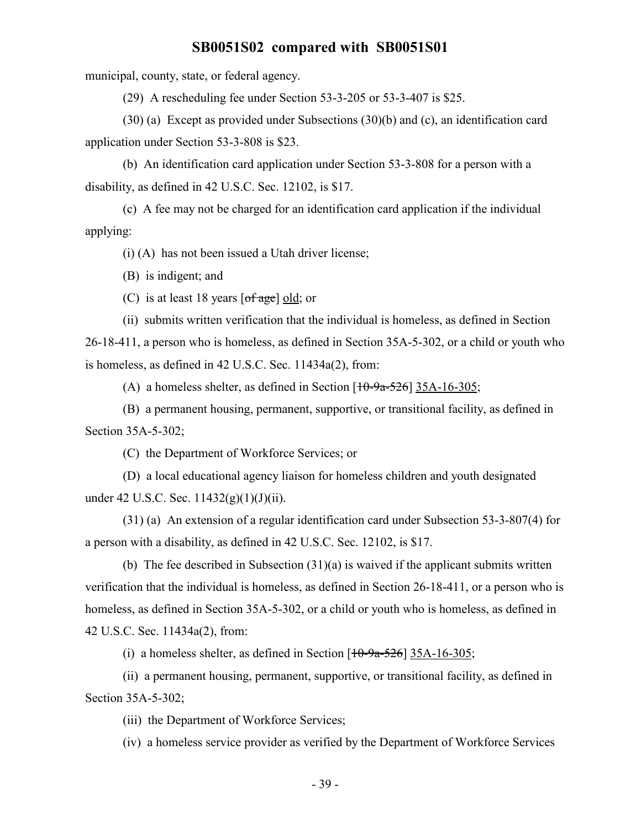municipal, county, state, or federal agency.

(29) A rescheduling fee under Section 53-3-205 or 53-3-407 is \$25.

(30) (a) Except as provided under Subsections (30)(b) and (c), an identification card application under Section 53-3-808 is \$23.

(b) An identification card application under Section 53-3-808 for a person with a disability, as defined in 42 U.S.C. Sec. 12102, is \$17.

(c) A fee may not be charged for an identification card application if the individual applying:

(i) (A) has not been issued a Utah driver license;

(B) is indigent; and

(C) is at least 18 years  $\lceil \text{of age} \rceil$  old; or

(ii) submits written verification that the individual is homeless, as defined in Section 26-18-411, a person who is homeless, as defined in Section 35A-5-302, or a child or youth who is homeless, as defined in 42 U.S.C. Sec. 11434a(2), from:

(A) a homeless shelter, as defined in Section  $[10-9a-526]$  35A-16-305;

(B) a permanent housing, permanent, supportive, or transitional facility, as defined in Section 35A-5-302;

(C) the Department of Workforce Services; or

(D) a local educational agency liaison for homeless children and youth designated under 42 U.S.C. Sec.  $11432(g)(1)(J)(ii)$ .

(31) (a) An extension of a regular identification card under Subsection 53-3-807(4) for a person with a disability, as defined in 42 U.S.C. Sec. 12102, is \$17.

(b) The fee described in Subsection  $(31)(a)$  is waived if the applicant submits written verification that the individual is homeless, as defined in Section 26-18-411, or a person who is homeless, as defined in Section 35A-5-302, or a child or youth who is homeless, as defined in 42 U.S.C. Sec. 11434a(2), from:

(i) a homeless shelter, as defined in Section  $[10-9a-526]$  35A-16-305;

(ii) a permanent housing, permanent, supportive, or transitional facility, as defined in Section 35A-5-302;

(iii) the Department of Workforce Services;

(iv) a homeless service provider as verified by the Department of Workforce Services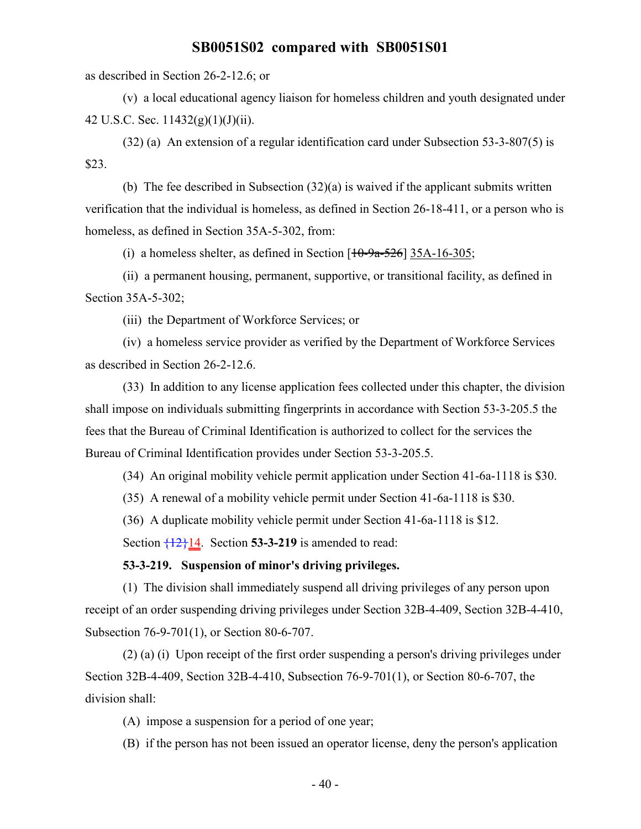as described in Section 26-2-12.6; or

(v) a local educational agency liaison for homeless children and youth designated under 42 U.S.C. Sec.  $11432(g)(1)(J)(ii)$ .

(32) (a) An extension of a regular identification card under Subsection 53-3-807(5) is \$23.

(b) The fee described in Subsection (32)(a) is waived if the applicant submits written verification that the individual is homeless, as defined in Section 26-18-411, or a person who is homeless, as defined in Section 35A-5-302, from:

(i) a homeless shelter, as defined in Section  $[10-9a-526]$  35A-16-305;

(ii) a permanent housing, permanent, supportive, or transitional facility, as defined in Section 35A-5-302;

(iii) the Department of Workforce Services; or

(iv) a homeless service provider as verified by the Department of Workforce Services as described in Section 26-2-12.6.

(33) In addition to any license application fees collected under this chapter, the division shall impose on individuals submitting fingerprints in accordance with Section 53-3-205.5 the fees that the Bureau of Criminal Identification is authorized to collect for the services the Bureau of Criminal Identification provides under Section 53-3-205.5.

(34) An original mobility vehicle permit application under Section 41-6a-1118 is \$30.

(35) A renewal of a mobility vehicle permit under Section 41-6a-1118 is \$30.

(36) A duplicate mobility vehicle permit under Section 41-6a-1118 is \$12.

Section  $\frac{12}{12}$  14. Section **53-3-219** is amended to read:

#### **53-3-219. Suspension of minor's driving privileges.**

(1) The division shall immediately suspend all driving privileges of any person upon receipt of an order suspending driving privileges under Section 32B-4-409, Section 32B-4-410, Subsection 76-9-701(1), or Section 80-6-707.

(2) (a) (i) Upon receipt of the first order suspending a person's driving privileges under Section 32B-4-409, Section 32B-4-410, Subsection 76-9-701(1), or Section 80-6-707, the division shall:

(A) impose a suspension for a period of one year;

(B) if the person has not been issued an operator license, deny the person's application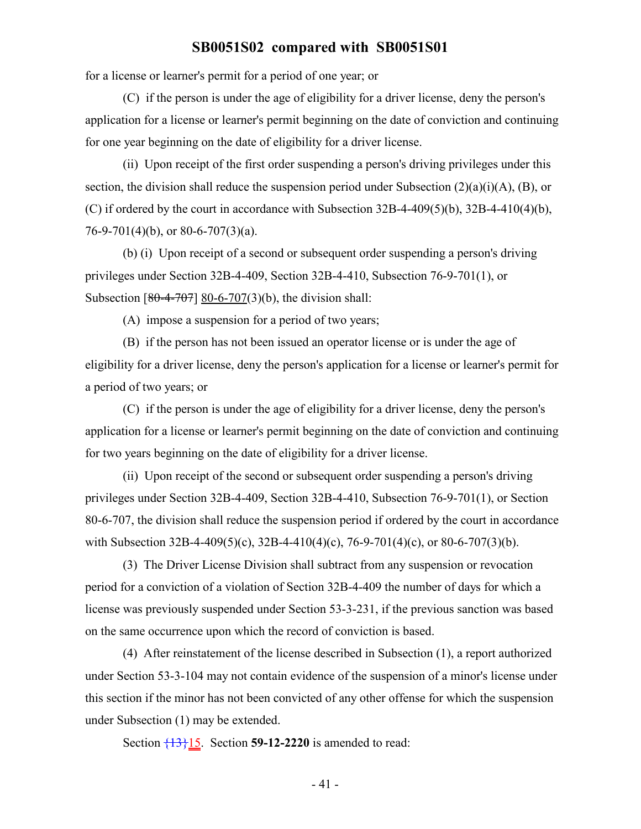for a license or learner's permit for a period of one year; or

(C) if the person is under the age of eligibility for a driver license, deny the person's application for a license or learner's permit beginning on the date of conviction and continuing for one year beginning on the date of eligibility for a driver license.

(ii) Upon receipt of the first order suspending a person's driving privileges under this section, the division shall reduce the suspension period under Subsection  $(2)(a)(i)(A)$ ,  $(B)$ , or (C) if ordered by the court in accordance with Subsection  $32B-4-409(5)(b)$ ,  $32B-4-410(4)(b)$ , 76-9-701(4)(b), or 80-6-707(3)(a).

(b) (i) Upon receipt of a second or subsequent order suspending a person's driving privileges under Section 32B-4-409, Section 32B-4-410, Subsection 76-9-701(1), or Subsection  $[80-4-707]$  80-6-707(3)(b), the division shall:

(A) impose a suspension for a period of two years;

(B) if the person has not been issued an operator license or is under the age of eligibility for a driver license, deny the person's application for a license or learner's permit for a period of two years; or

(C) if the person is under the age of eligibility for a driver license, deny the person's application for a license or learner's permit beginning on the date of conviction and continuing for two years beginning on the date of eligibility for a driver license.

(ii) Upon receipt of the second or subsequent order suspending a person's driving privileges under Section 32B-4-409, Section 32B-4-410, Subsection 76-9-701(1), or Section 80-6-707, the division shall reduce the suspension period if ordered by the court in accordance with Subsection 32B-4-409(5)(c), 32B-4-410(4)(c), 76-9-701(4)(c), or 80-6-707(3)(b).

(3) The Driver License Division shall subtract from any suspension or revocation period for a conviction of a violation of Section 32B-4-409 the number of days for which a license was previously suspended under Section 53-3-231, if the previous sanction was based on the same occurrence upon which the record of conviction is based.

(4) After reinstatement of the license described in Subsection (1), a report authorized under Section 53-3-104 may not contain evidence of the suspension of a minor's license under this section if the minor has not been convicted of any other offense for which the suspension under Subsection (1) may be extended.

Section {13}15. Section **59-12-2220** is amended to read: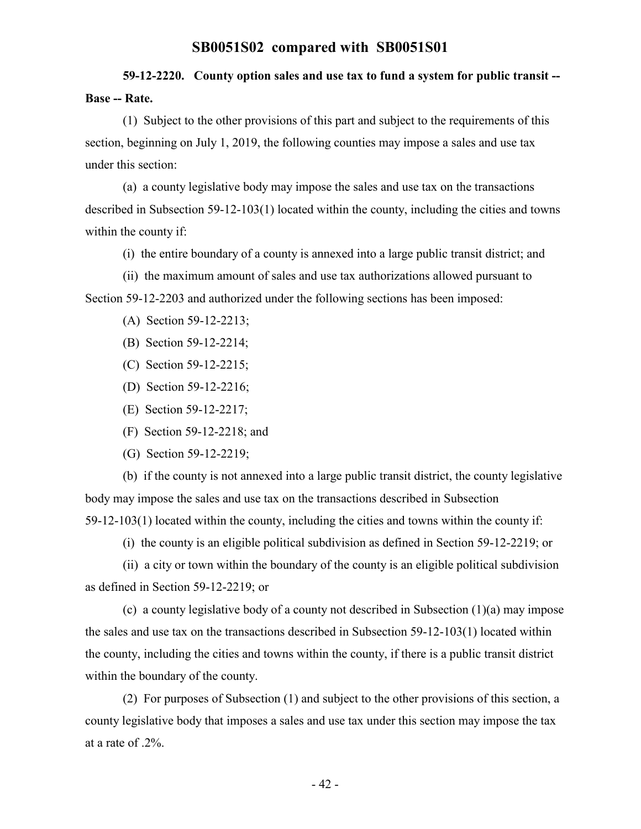# **59-12-2220. County option sales and use tax to fund a system for public transit -- Base -- Rate.**

(1) Subject to the other provisions of this part and subject to the requirements of this section, beginning on July 1, 2019, the following counties may impose a sales and use tax under this section:

(a) a county legislative body may impose the sales and use tax on the transactions described in Subsection 59-12-103(1) located within the county, including the cities and towns within the county if:

(i) the entire boundary of a county is annexed into a large public transit district; and

(ii) the maximum amount of sales and use tax authorizations allowed pursuant to Section 59-12-2203 and authorized under the following sections has been imposed:

- (A) Section 59-12-2213;
- (B) Section 59-12-2214;
- (C) Section 59-12-2215;
- (D) Section 59-12-2216;
- (E) Section 59-12-2217;
- (F) Section 59-12-2218; and
- (G) Section 59-12-2219;

(b) if the county is not annexed into a large public transit district, the county legislative body may impose the sales and use tax on the transactions described in Subsection 59-12-103(1) located within the county, including the cities and towns within the county if:

(i) the county is an eligible political subdivision as defined in Section 59-12-2219; or

(ii) a city or town within the boundary of the county is an eligible political subdivision as defined in Section 59-12-2219; or

(c) a county legislative body of a county not described in Subsection (1)(a) may impose the sales and use tax on the transactions described in Subsection 59-12-103(1) located within the county, including the cities and towns within the county, if there is a public transit district within the boundary of the county.

(2) For purposes of Subsection (1) and subject to the other provisions of this section, a county legislative body that imposes a sales and use tax under this section may impose the tax at a rate of .2%.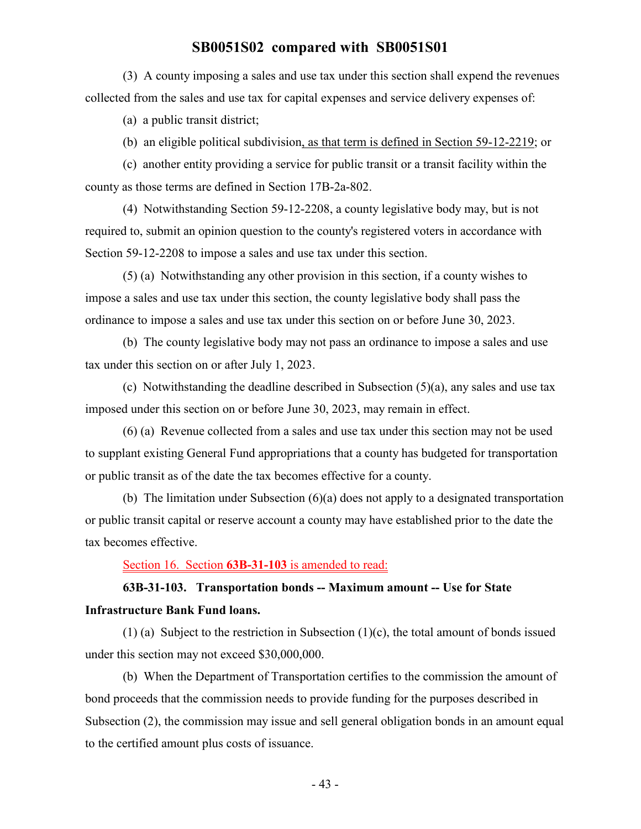(3) A county imposing a sales and use tax under this section shall expend the revenues collected from the sales and use tax for capital expenses and service delivery expenses of:

(a) a public transit district;

(b) an eligible political subdivision, as that term is defined in Section 59-12-2219; or

(c) another entity providing a service for public transit or a transit facility within the county as those terms are defined in Section 17B-2a-802.

(4) Notwithstanding Section 59-12-2208, a county legislative body may, but is not required to, submit an opinion question to the county's registered voters in accordance with Section 59-12-2208 to impose a sales and use tax under this section.

(5) (a) Notwithstanding any other provision in this section, if a county wishes to impose a sales and use tax under this section, the county legislative body shall pass the ordinance to impose a sales and use tax under this section on or before June 30, 2023.

(b) The county legislative body may not pass an ordinance to impose a sales and use tax under this section on or after July 1, 2023.

(c) Notwithstanding the deadline described in Subsection (5)(a), any sales and use tax imposed under this section on or before June 30, 2023, may remain in effect.

(6) (a) Revenue collected from a sales and use tax under this section may not be used to supplant existing General Fund appropriations that a county has budgeted for transportation or public transit as of the date the tax becomes effective for a county.

(b) The limitation under Subsection (6)(a) does not apply to a designated transportation or public transit capital or reserve account a county may have established prior to the date the tax becomes effective.

Section 16. Section **63B-31-103** is amended to read:

# **63B-31-103. Transportation bonds -- Maximum amount -- Use for State Infrastructure Bank Fund loans.**

(1) (a) Subject to the restriction in Subsection (1)(c), the total amount of bonds issued under this section may not exceed \$30,000,000.

(b) When the Department of Transportation certifies to the commission the amount of bond proceeds that the commission needs to provide funding for the purposes described in Subsection (2), the commission may issue and sell general obligation bonds in an amount equal to the certified amount plus costs of issuance.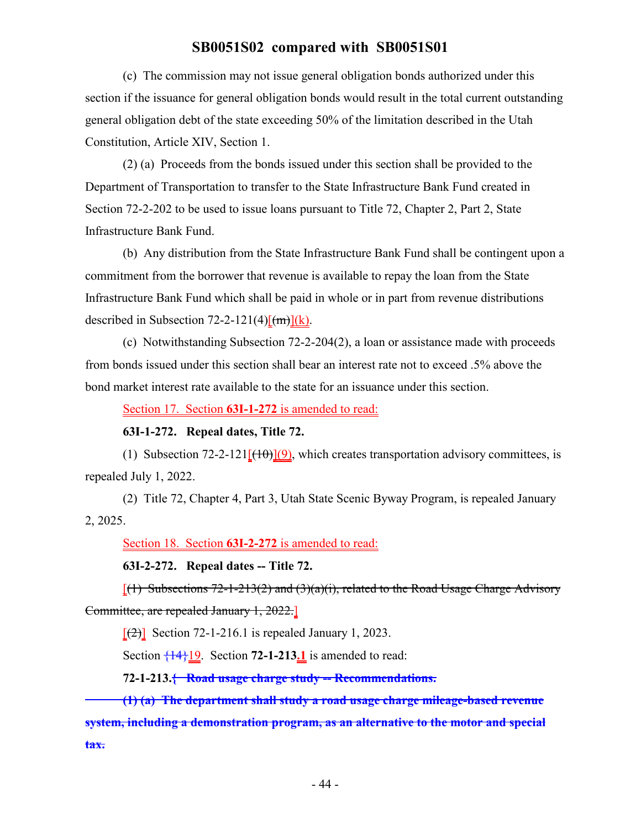(c) The commission may not issue general obligation bonds authorized under this section if the issuance for general obligation bonds would result in the total current outstanding general obligation debt of the state exceeding 50% of the limitation described in the Utah Constitution, Article XIV, Section 1.

(2) (a) Proceeds from the bonds issued under this section shall be provided to the Department of Transportation to transfer to the State Infrastructure Bank Fund created in Section 72-2-202 to be used to issue loans pursuant to Title 72, Chapter 2, Part 2, State Infrastructure Bank Fund.

(b) Any distribution from the State Infrastructure Bank Fund shall be contingent upon a commitment from the borrower that revenue is available to repay the loan from the State Infrastructure Bank Fund which shall be paid in whole or in part from revenue distributions described in Subsection 72-2-121(4) $\frac{[m]}{(k)}$ .

(c) Notwithstanding Subsection 72-2-204(2), a loan or assistance made with proceeds from bonds issued under this section shall bear an interest rate not to exceed .5% above the bond market interest rate available to the state for an issuance under this section.

Section 17. Section **63I-1-272** is amended to read:

#### **63I-1-272. Repeal dates, Title 72.**

(1) Subsection 72-2-121 $[(10)(9)]$ , which creates transportation advisory committees, is repealed July 1, 2022.

(2) Title 72, Chapter 4, Part 3, Utah State Scenic Byway Program, is repealed January 2, 2025.

Section 18. Section **63I-2-272** is amended to read:

**63I-2-272. Repeal dates -- Title 72.**

 $[(1)$  Subsections 72-1-213(2) and (3)(a)(i), related to the Road Usage Charge Advisory Committee, are repealed January 1, 2022.]

 $\lceil$ (2)] Section 72-1-216.1 is repealed January 1, 2023.

Section  $\frac{14}{19}$ . Section **72-1-213.1** is amended to read:

**72-1-213.{ Road usage charge study -- Recommendations.**

**(1) (a) The department shall study a road usage charge mileage-based revenue system, including a demonstration program, as an alternative to the motor and special tax.**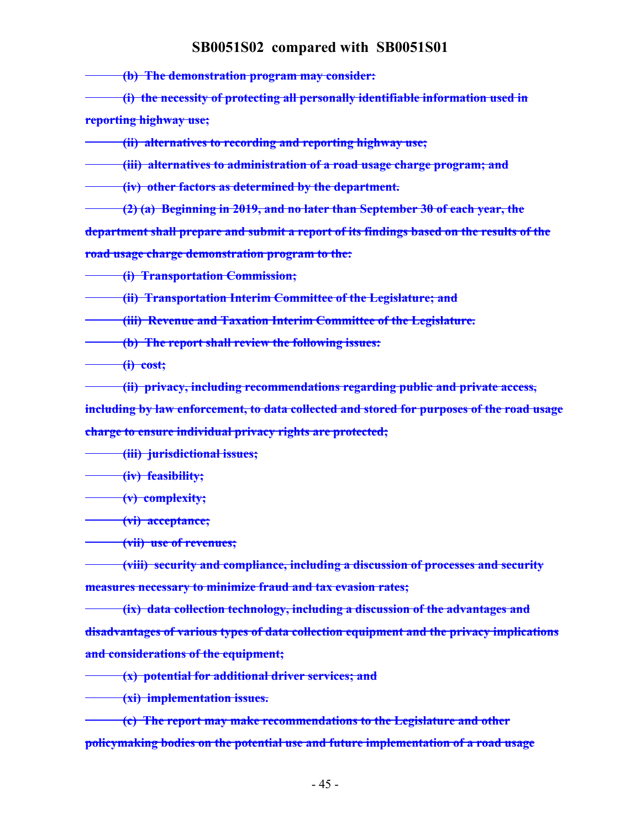**(b) The demonstration program may consider:**

**(i) the necessity of protecting all personally identifiable information used in reporting highway use;**

**(ii) alternatives to recording and reporting highway use;**

**(iii) alternatives to administration of a road usage charge program; and**

**(iv) other factors as determined by the department.**

**(2) (a) Beginning in 2019, and no later than September 30 of each year, the department shall prepare and submit a report of its findings based on the results of the road usage charge demonstration program to the:**

**(i) Transportation Commission;**

**(ii) Transportation Interim Committee of the Legislature; and**

**(iii) Revenue and Taxation Interim Committee of the Legislature.**

**(b) The report shall review the following issues:**

**(i) cost;**

**(ii) privacy, including recommendations regarding public and private access, including by law enforcement, to data collected and stored for purposes of the road usage charge to ensure individual privacy rights are protected;**

**(iii) jurisdictional issues;**

**(iv) feasibility;**

**(v) complexity;**

**(vi) acceptance;**

**(vii) use of revenues;**

**(viii) security and compliance, including a discussion of processes and security measures necessary to minimize fraud and tax evasion rates;**

**(ix) data collection technology, including a discussion of the advantages and disadvantages of various types of data collection equipment and the privacy implications and considerations of the equipment;**

**(x) potential for additional driver services; and**

**(xi) implementation issues.**

**(c) The report may make recommendations to the Legislature and other policymaking bodies on the potential use and future implementation of a road usage**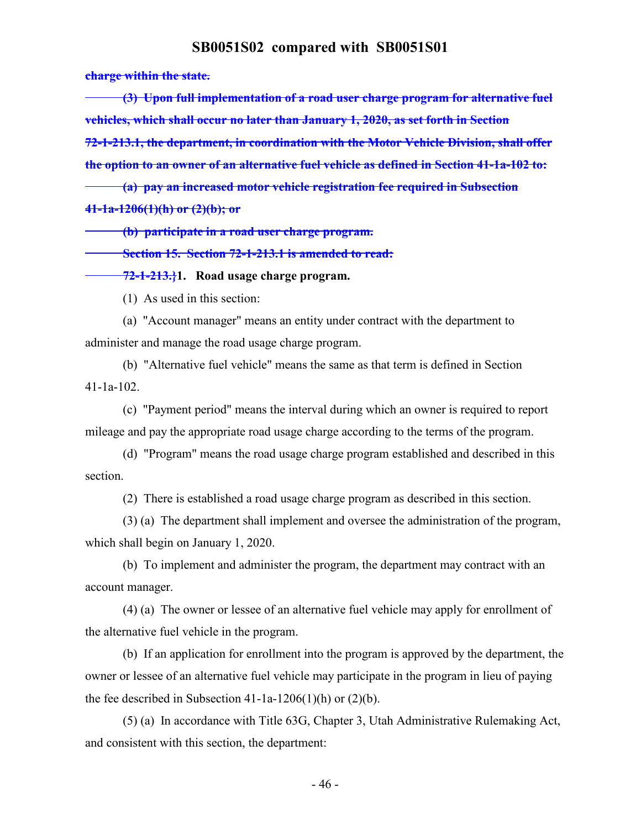**charge within the state.**

**(3) Upon full implementation of a road user charge program for alternative fuel vehicles, which shall occur no later than January 1, 2020, as set forth in Section 72-1-213.1, the department, in coordination with the Motor Vehicle Division, shall offer the option to an owner of an alternative fuel vehicle as defined in Section 41-1a-102 to: (a) pay an increased motor vehicle registration fee required in Subsection**

**41-1a-1206(1)(h) or (2)(b); or**

**(b) participate in a road user charge program.**

**Section 15. Section 72-1-213.1 is amended to read:**

**72-1-213.}1. Road usage charge program.**

(1) As used in this section:

(a) "Account manager" means an entity under contract with the department to administer and manage the road usage charge program.

(b) "Alternative fuel vehicle" means the same as that term is defined in Section 41-1a-102.

(c) "Payment period" means the interval during which an owner is required to report mileage and pay the appropriate road usage charge according to the terms of the program.

(d) "Program" means the road usage charge program established and described in this section.

(2) There is established a road usage charge program as described in this section.

(3) (a) The department shall implement and oversee the administration of the program, which shall begin on January 1, 2020.

(b) To implement and administer the program, the department may contract with an account manager.

(4) (a) The owner or lessee of an alternative fuel vehicle may apply for enrollment of the alternative fuel vehicle in the program.

(b) If an application for enrollment into the program is approved by the department, the owner or lessee of an alternative fuel vehicle may participate in the program in lieu of paying the fee described in Subsection 41-1a-1206(1)(h) or  $(2)(b)$ .

(5) (a) In accordance with Title 63G, Chapter 3, Utah Administrative Rulemaking Act, and consistent with this section, the department: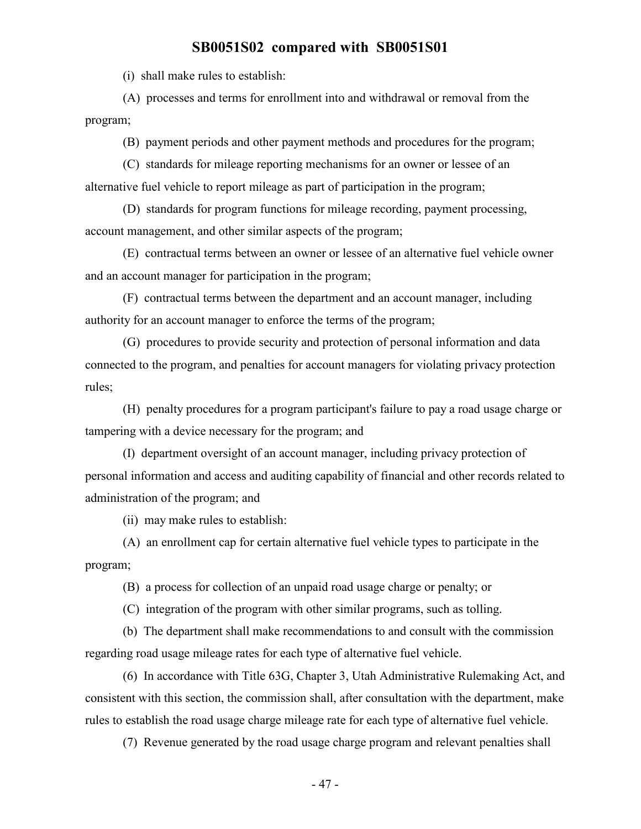(i) shall make rules to establish:

(A) processes and terms for enrollment into and withdrawal or removal from the program;

(B) payment periods and other payment methods and procedures for the program;

(C) standards for mileage reporting mechanisms for an owner or lessee of an alternative fuel vehicle to report mileage as part of participation in the program;

(D) standards for program functions for mileage recording, payment processing, account management, and other similar aspects of the program;

(E) contractual terms between an owner or lessee of an alternative fuel vehicle owner and an account manager for participation in the program;

(F) contractual terms between the department and an account manager, including authority for an account manager to enforce the terms of the program;

(G) procedures to provide security and protection of personal information and data connected to the program, and penalties for account managers for violating privacy protection rules;

(H) penalty procedures for a program participant's failure to pay a road usage charge or tampering with a device necessary for the program; and

(I) department oversight of an account manager, including privacy protection of personal information and access and auditing capability of financial and other records related to administration of the program; and

(ii) may make rules to establish:

(A) an enrollment cap for certain alternative fuel vehicle types to participate in the program;

(B) a process for collection of an unpaid road usage charge or penalty; or

(C) integration of the program with other similar programs, such as tolling.

(b) The department shall make recommendations to and consult with the commission regarding road usage mileage rates for each type of alternative fuel vehicle.

(6) In accordance with Title 63G, Chapter 3, Utah Administrative Rulemaking Act, and consistent with this section, the commission shall, after consultation with the department, make rules to establish the road usage charge mileage rate for each type of alternative fuel vehicle.

(7) Revenue generated by the road usage charge program and relevant penalties shall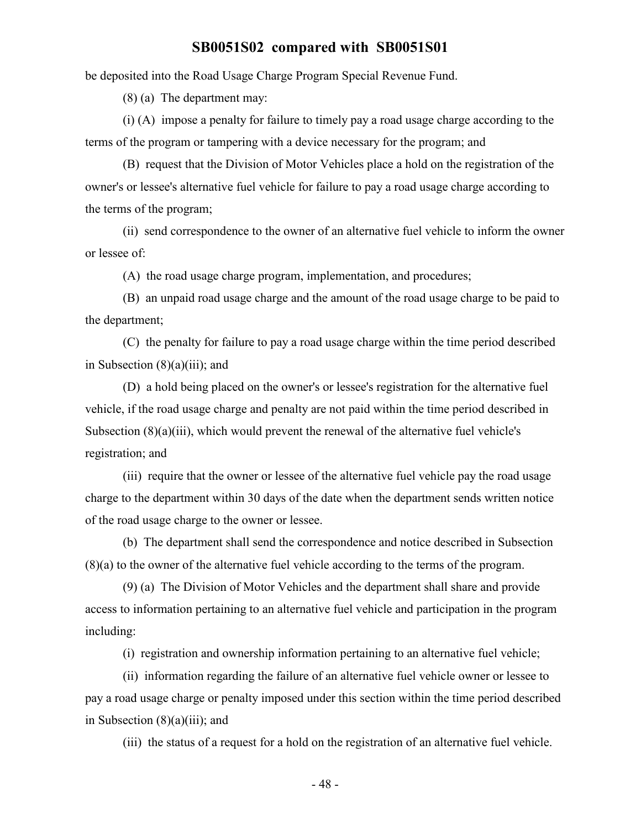be deposited into the Road Usage Charge Program Special Revenue Fund.

(8) (a) The department may:

(i) (A) impose a penalty for failure to timely pay a road usage charge according to the terms of the program or tampering with a device necessary for the program; and

(B) request that the Division of Motor Vehicles place a hold on the registration of the owner's or lessee's alternative fuel vehicle for failure to pay a road usage charge according to the terms of the program;

(ii) send correspondence to the owner of an alternative fuel vehicle to inform the owner or lessee of:

(A) the road usage charge program, implementation, and procedures;

(B) an unpaid road usage charge and the amount of the road usage charge to be paid to the department;

(C) the penalty for failure to pay a road usage charge within the time period described in Subsection (8)(a)(iii); and

(D) a hold being placed on the owner's or lessee's registration for the alternative fuel vehicle, if the road usage charge and penalty are not paid within the time period described in Subsection (8)(a)(iii), which would prevent the renewal of the alternative fuel vehicle's registration; and

(iii) require that the owner or lessee of the alternative fuel vehicle pay the road usage charge to the department within 30 days of the date when the department sends written notice of the road usage charge to the owner or lessee.

(b) The department shall send the correspondence and notice described in Subsection (8)(a) to the owner of the alternative fuel vehicle according to the terms of the program.

(9) (a) The Division of Motor Vehicles and the department shall share and provide access to information pertaining to an alternative fuel vehicle and participation in the program including:

(i) registration and ownership information pertaining to an alternative fuel vehicle;

(ii) information regarding the failure of an alternative fuel vehicle owner or lessee to pay a road usage charge or penalty imposed under this section within the time period described in Subsection  $(8)(a)(iii)$ ; and

(iii) the status of a request for a hold on the registration of an alternative fuel vehicle.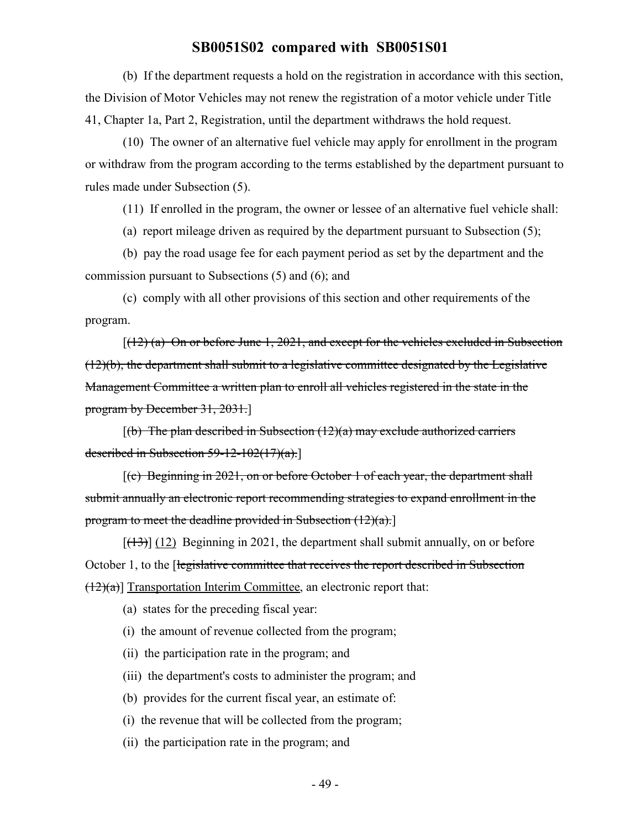(b) If the department requests a hold on the registration in accordance with this section, the Division of Motor Vehicles may not renew the registration of a motor vehicle under Title 41, Chapter 1a, Part 2, Registration, until the department withdraws the hold request.

(10) The owner of an alternative fuel vehicle may apply for enrollment in the program or withdraw from the program according to the terms established by the department pursuant to rules made under Subsection (5).

(11) If enrolled in the program, the owner or lessee of an alternative fuel vehicle shall:

(a) report mileage driven as required by the department pursuant to Subsection (5);

(b) pay the road usage fee for each payment period as set by the department and the commission pursuant to Subsections (5) and (6); and

(c) comply with all other provisions of this section and other requirements of the program.

 $[(12)$  (a) On or before June 1, 2021, and except for the vehicles excluded in Subsection (12)(b), the department shall submit to a legislative committee designated by the Legislative Management Committee a written plan to enroll all vehicles registered in the state in the program by December 31, 2031.]

 $[(b)$  The plan described in Subsection  $(12)(a)$  may exclude authorized carriers described in Subsection  $59-12-102(17)(a)$ .

[(c) Beginning in 2021, on or before October 1 of each year, the department shall submit annually an electronic report recommending strategies to expand enrollment in the program to meet the deadline provided in Subsection  $(12)(a)$ .

 $[ (13) ]$  (12) Beginning in 2021, the department shall submit annually, on or before October 1, to the [legislative committee that receives the report described in Subsection  $(12)(a)$ ] Transportation Interim Committee, an electronic report that:

(a) states for the preceding fiscal year:

(i) the amount of revenue collected from the program;

(ii) the participation rate in the program; and

(iii) the department's costs to administer the program; and

(b) provides for the current fiscal year, an estimate of:

(i) the revenue that will be collected from the program;

(ii) the participation rate in the program; and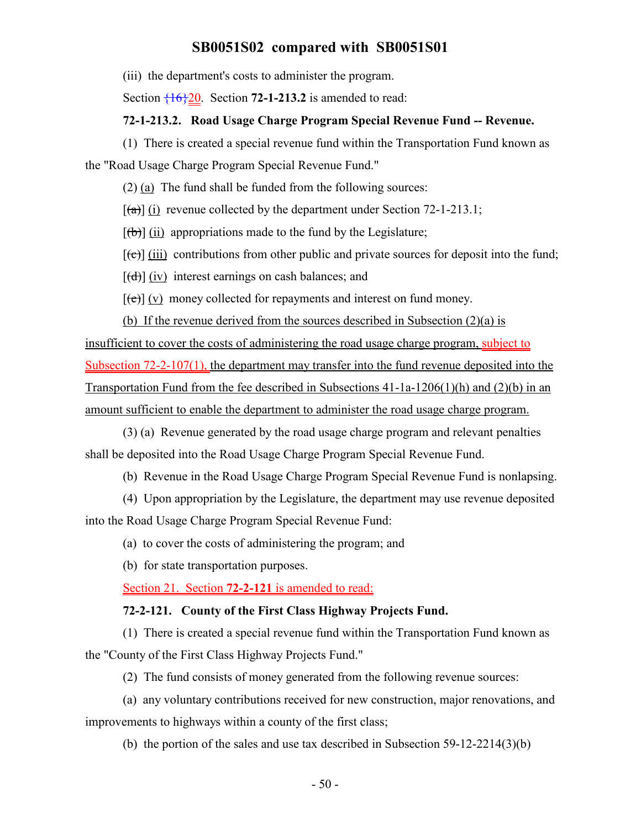(iii) the department's costs to administer the program.

Section  $\frac{16}{20}$ . Section **72-1-213.2** is amended to read:

### **72-1-213.2. Road Usage Charge Program Special Revenue Fund -- Revenue.**

(1) There is created a special revenue fund within the Transportation Fund known as the "Road Usage Charge Program Special Revenue Fund."

(2) (a) The fund shall be funded from the following sources:

 $[\hat{a}]$  (i) revenue collected by the department under Section 72-1-213.1;

 $[\phi]$  (ii) appropriations made to the fund by the Legislature;

 $[\text{f}\text{e}]$  (iii) contributions from other public and private sources for deposit into the fund;

[(d)] (iv) interest earnings on cash balances; and

 $[\text{e}(\text{e})]$  (v) money collected for repayments and interest on fund money.

(b) If the revenue derived from the sources described in Subsection (2)(a) is insufficient to cover the costs of administering the road usage charge program, subject to Subsection 72-2-107(1), the department may transfer into the fund revenue deposited into the Transportation Fund from the fee described in Subsections 41-1a-1206(1)(h) and (2)(b) in an amount sufficient to enable the department to administer the road usage charge program.

(3) (a) Revenue generated by the road usage charge program and relevant penalties shall be deposited into the Road Usage Charge Program Special Revenue Fund.

(b) Revenue in the Road Usage Charge Program Special Revenue Fund is nonlapsing.

(4) Upon appropriation by the Legislature, the department may use revenue deposited into the Road Usage Charge Program Special Revenue Fund:

(a) to cover the costs of administering the program; and

(b) for state transportation purposes.

Section 21. Section **72-2-121** is amended to read:

#### **72-2-121. County of the First Class Highway Projects Fund.**

(1) There is created a special revenue fund within the Transportation Fund known as the "County of the First Class Highway Projects Fund."

(2) The fund consists of money generated from the following revenue sources:

(a) any voluntary contributions received for new construction, major renovations, and improvements to highways within a county of the first class;

(b) the portion of the sales and use tax described in Subsection 59-12-2214(3)(b)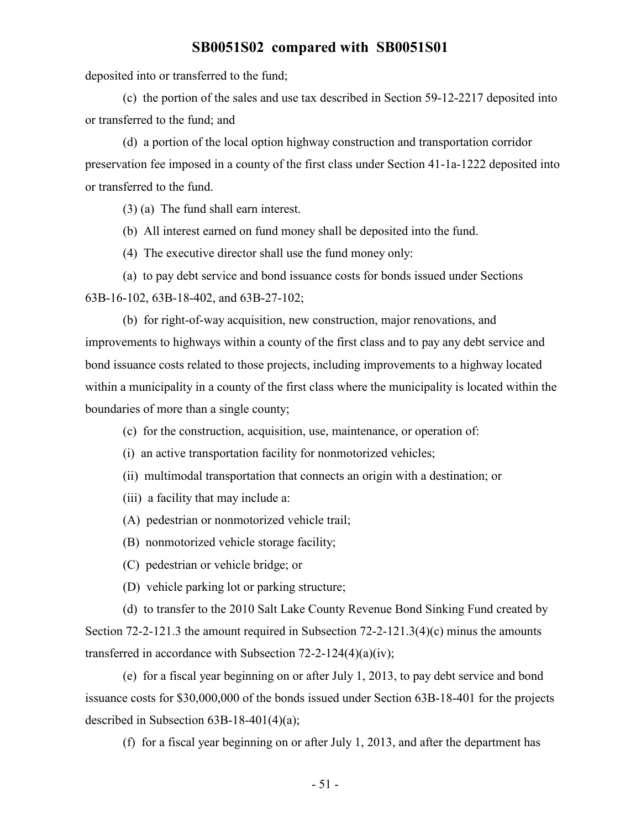deposited into or transferred to the fund;

(c) the portion of the sales and use tax described in Section 59-12-2217 deposited into or transferred to the fund; and

(d) a portion of the local option highway construction and transportation corridor preservation fee imposed in a county of the first class under Section 41-1a-1222 deposited into or transferred to the fund.

(3) (a) The fund shall earn interest.

(b) All interest earned on fund money shall be deposited into the fund.

(4) The executive director shall use the fund money only:

(a) to pay debt service and bond issuance costs for bonds issued under Sections 63B-16-102, 63B-18-402, and 63B-27-102;

(b) for right-of-way acquisition, new construction, major renovations, and improvements to highways within a county of the first class and to pay any debt service and bond issuance costs related to those projects, including improvements to a highway located within a municipality in a county of the first class where the municipality is located within the boundaries of more than a single county;

- (c) for the construction, acquisition, use, maintenance, or operation of:
- (i) an active transportation facility for nonmotorized vehicles;
- (ii) multimodal transportation that connects an origin with a destination; or
- (iii) a facility that may include a:
- (A) pedestrian or nonmotorized vehicle trail;
- (B) nonmotorized vehicle storage facility;
- (C) pedestrian or vehicle bridge; or
- (D) vehicle parking lot or parking structure;

(d) to transfer to the 2010 Salt Lake County Revenue Bond Sinking Fund created by Section 72-2-121.3 the amount required in Subsection 72-2-121.3(4)(c) minus the amounts transferred in accordance with Subsection 72-2-124(4)(a)(iv);

(e) for a fiscal year beginning on or after July 1, 2013, to pay debt service and bond issuance costs for \$30,000,000 of the bonds issued under Section 63B-18-401 for the projects described in Subsection 63B-18-401(4)(a);

(f) for a fiscal year beginning on or after July 1, 2013, and after the department has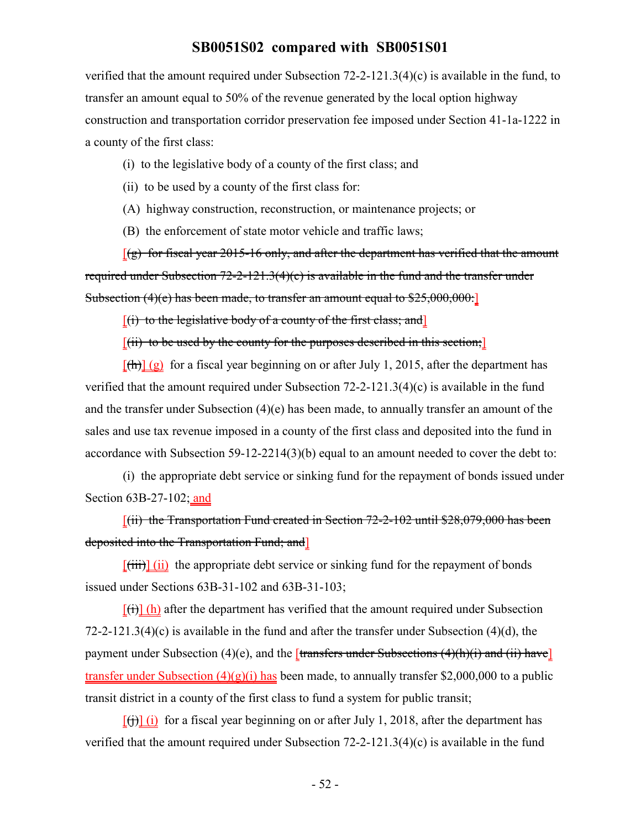verified that the amount required under Subsection 72-2-121.3(4)(c) is available in the fund, to transfer an amount equal to 50% of the revenue generated by the local option highway construction and transportation corridor preservation fee imposed under Section 41-1a-1222 in a county of the first class:

- (i) to the legislative body of a county of the first class; and
- (ii) to be used by a county of the first class for:
- (A) highway construction, reconstruction, or maintenance projects; or
- (B) the enforcement of state motor vehicle and traffic laws;

 $[(g)$  for fiscal year 2015-16 only, and after the department has verified that the amount required under Subsection 72-2-121.3(4)(c) is available in the fund and the transfer under Subsection (4)(e) has been made, to transfer an amount equal to \$25,000,000:

 $[(i)$  to the legislative body of a county of the first class; and

 $[(iii)$  to be used by the county for the purposes described in this section;

 $[(h)]$  (g) for a fiscal year beginning on or after July 1, 2015, after the department has verified that the amount required under Subsection 72-2-121.3(4)(c) is available in the fund and the transfer under Subsection (4)(e) has been made, to annually transfer an amount of the sales and use tax revenue imposed in a county of the first class and deposited into the fund in accordance with Subsection 59-12-2214(3)(b) equal to an amount needed to cover the debt to:

(i) the appropriate debt service or sinking fund for the repayment of bonds issued under Section 63B-27-102; and

 $[(ii)$  the Transportation Fund created in Section 72-2-102 until \$28,079,000 has been deposited into the Transportation Fund; and]

 $[\overline{\text{(iii)}}]$  (ii) the appropriate debt service or sinking fund for the repayment of bonds issued under Sections 63B-31-102 and 63B-31-103;

 $[\overrightarrow{(t)}]$  (h) after the department has verified that the amount required under Subsection 72-2-121.3(4)(c) is available in the fund and after the transfer under Subsection (4)(d), the payment under Subsection (4)(e), and the *[transfers under Subsections (4)(h)(i) and (ii) have*] transfer under Subsection  $(4)(g)(i)$  has been made, to annually transfer \$2,000,000 to a public transit district in a county of the first class to fund a system for public transit;

 $[\text{H}(\mathbf{i})]$  (i) for a fiscal year beginning on or after July 1, 2018, after the department has verified that the amount required under Subsection 72-2-121.3(4)(c) is available in the fund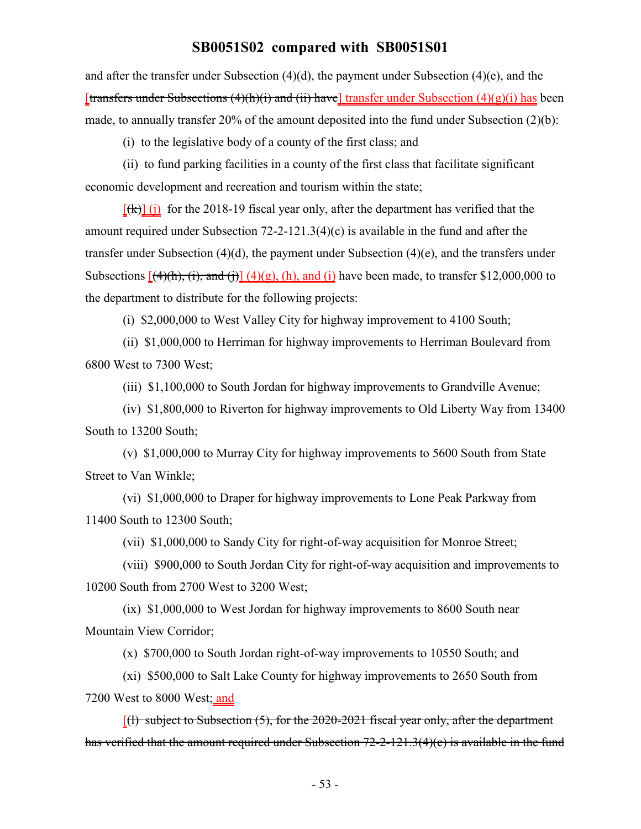and after the transfer under Subsection (4)(d), the payment under Subsection (4)(e), and the [transfers under Subsections  $(4)(h)(i)$  and  $(ii)$  have] transfer under Subsection  $(4)(g)(i)$  has been made, to annually transfer 20% of the amount deposited into the fund under Subsection (2)(b):

(i) to the legislative body of a county of the first class; and

(ii) to fund parking facilities in a county of the first class that facilitate significant economic development and recreation and tourism within the state;

 $[\frac{f(k)}{k}]$  (i) for the 2018-19 fiscal year only, after the department has verified that the amount required under Subsection 72-2-121.3(4)(c) is available in the fund and after the transfer under Subsection (4)(d), the payment under Subsection (4)(e), and the transfers under Subsections  $[(4)(h), (i),$  and  $(i)]$   $(4)(g)$ ,  $(h)$ , and  $(i)$  have been made, to transfer \$12,000,000 to the department to distribute for the following projects:

(i) \$2,000,000 to West Valley City for highway improvement to 4100 South;

(ii) \$1,000,000 to Herriman for highway improvements to Herriman Boulevard from 6800 West to 7300 West;

(iii) \$1,100,000 to South Jordan for highway improvements to Grandville Avenue;

(iv) \$1,800,000 to Riverton for highway improvements to Old Liberty Way from 13400 South to 13200 South;

(v) \$1,000,000 to Murray City for highway improvements to 5600 South from State Street to Van Winkle;

(vi) \$1,000,000 to Draper for highway improvements to Lone Peak Parkway from 11400 South to 12300 South;

(vii) \$1,000,000 to Sandy City for right-of-way acquisition for Monroe Street;

(viii) \$900,000 to South Jordan City for right-of-way acquisition and improvements to 10200 South from 2700 West to 3200 West;

(ix) \$1,000,000 to West Jordan for highway improvements to 8600 South near Mountain View Corridor;

(x) \$700,000 to South Jordan right-of-way improvements to 10550 South; and

(xi) \$500,000 to Salt Lake County for highway improvements to 2650 South from 7200 West to 8000 West; and

 $[(1)$  subject to Subsection (5), for the 2020-2021 fiscal year only, after the department has verified that the amount required under Subsection 72-2-121.3(4)(c) is available in the fund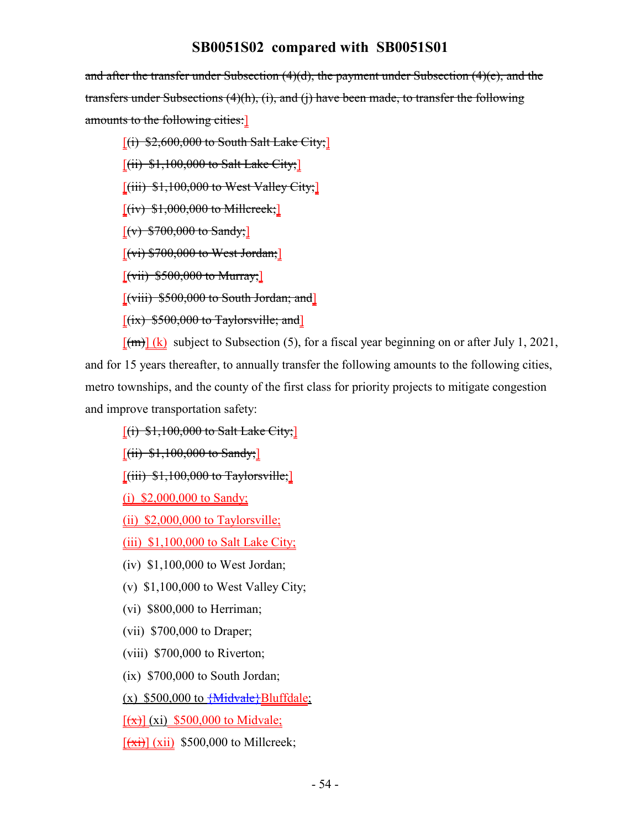and after the transfer under Subsection  $(4)(d)$ , the payment under Subsection  $(4)(e)$ , and the transfers under Subsections (4)(h), (i), and (j) have been made, to transfer the following amounts to the following cities:]

 $[(i)$  \$2,600,000 to South Salt Lake City;

 $[(ii)$  \$1,100,000 to Salt Lake City;

 $[(iii)$  \$1,100,000 to West Valley City;

 $[(iv)$  \$1,000,000 to Millcreek;

 $[(v) $700,000$  to Sandy;

 $[(vi) $700,000$  to West Jordan;

 $[(\text{vii}) \, \$500,000 \text{ to Murray}]$ 

[(viii) \$500,000 to South Jordan; and]

 $[(ix)$  \$500,000 to Taylorsville; and

 $[\text{fm}]$  (k) subject to Subsection (5), for a fiscal year beginning on or after July 1, 2021, and for 15 years thereafter, to annually transfer the following amounts to the following cities, metro townships, and the county of the first class for priority projects to mitigate congestion and improve transportation safety:

 $[(i)$  \$1,100,000 to Salt Lake City;

 $[(ii)$  \$1,100,000 to Sandy;

 $[(iii)$  \$1,100,000 to Taylorsville;

(i) \$2,000,000 to Sandy;

(ii) \$2,000,000 to Taylorsville;

(iii) \$1,100,000 to Salt Lake City;

(iv) \$1,100,000 to West Jordan;

(v) \$1,100,000 to West Valley City;

(vi) \$800,000 to Herriman;

(vii) \$700,000 to Draper;

(viii) \$700,000 to Riverton;

(ix) \$700,000 to South Jordan;

(x)  $$500,000$  to  ${Midvale}$ Bluffdale;

 $[(x)]$  (xi) \$500,000 to Midvale;

 $[\overrightarrow{xii}]$  (xii) \$500,000 to Millcreek;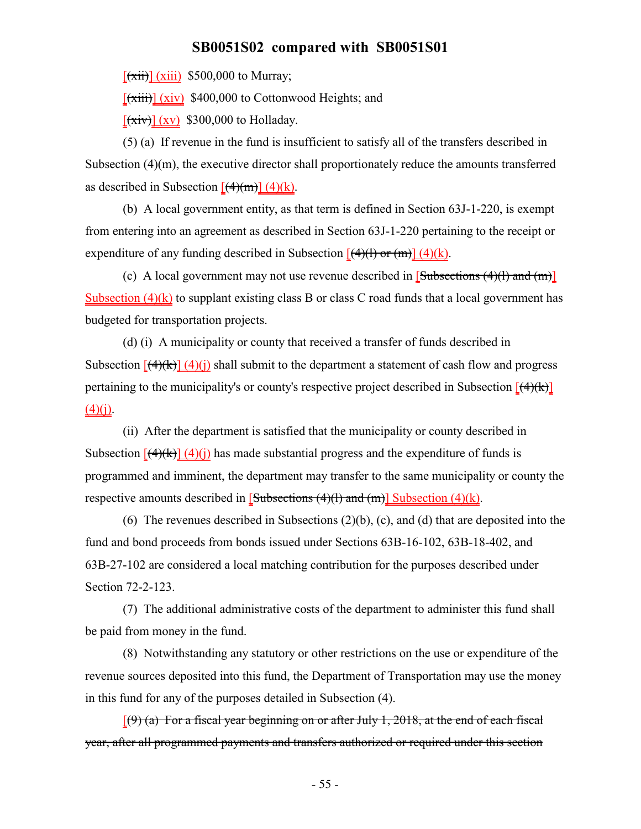$[\overrightarrow{xii}]$  (xiii) \$500,000 to Murray;

 $[\overline{xiii}]$  (xiv) \$400,000 to Cottonwood Heights; and

 $[\overline{(xiv)}](xy)$  \$300,000 to Holladay.

(5) (a) If revenue in the fund is insufficient to satisfy all of the transfers described in Subsection (4)(m), the executive director shall proportionately reduce the amounts transferred as described in Subsection  $[(4)(m)] (4)(k)$ .

(b) A local government entity, as that term is defined in Section 63J-1-220, is exempt from entering into an agreement as described in Section 63J-1-220 pertaining to the receipt or expenditure of any funding described in Subsection  $[(4)(1)$  or  $(m)] (4)(k)$ .

(c) A local government may not use revenue described in  $[Subsections (4)(1) and (m)]$ Subsection  $(4)(k)$  to supplant existing class B or class C road funds that a local government has budgeted for transportation projects.

(d) (i) A municipality or county that received a transfer of funds described in Subsection  $\left[\frac{(4)}{k}\right]$  (4)(i) shall submit to the department a statement of cash flow and progress pertaining to the municipality's or county's respective project described in Subsection  $[ (4)(k) ]$  $(4)(i)$ .

(ii) After the department is satisfied that the municipality or county described in Subsection  $[(4)(k)] (4)(i)$  has made substantial progress and the expenditure of funds is programmed and imminent, the department may transfer to the same municipality or county the respective amounts described in  $[Subsections (4)(1) and (m)] Subsection (4)(k).$ 

(6) The revenues described in Subsections (2)(b), (c), and (d) that are deposited into the fund and bond proceeds from bonds issued under Sections 63B-16-102, 63B-18-402, and 63B-27-102 are considered a local matching contribution for the purposes described under Section 72-2-123.

(7) The additional administrative costs of the department to administer this fund shall be paid from money in the fund.

(8) Notwithstanding any statutory or other restrictions on the use or expenditure of the revenue sources deposited into this fund, the Department of Transportation may use the money in this fund for any of the purposes detailed in Subsection (4).

 $(9)$  (a) For a fiscal year beginning on or after July 1, 2018, at the end of each fiscal year, after all programmed payments and transfers authorized or required under this section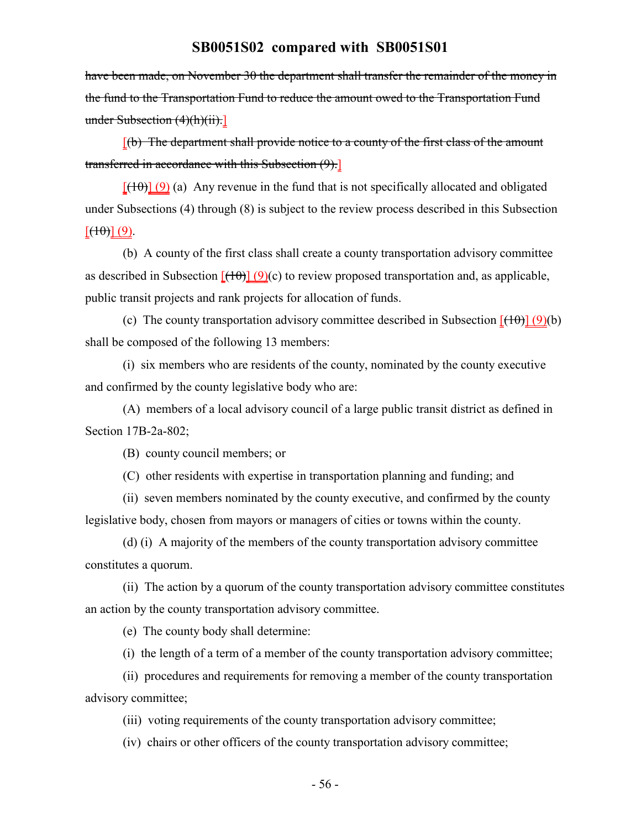have been made, on November 30 the department shall transfer the remainder of the money in the fund to the Transportation Fund to reduce the amount owed to the Transportation Fund under Subsection (4)(h)(ii).]

 $[(b)$  The department shall provide notice to a county of the first class of the amount transferred in accordance with this Subsection (9).]

 $[({10})]$  (9) (a) Any revenue in the fund that is not specifically allocated and obligated under Subsections (4) through (8) is subject to the review process described in this Subsection  $[\left(\left(\frac{1}{10}\right)\right]\left(9\right)]$ .

(b) A county of the first class shall create a county transportation advisory committee as described in Subsection  $[(10)(e)]$  to review proposed transportation and, as applicable, public transit projects and rank projects for allocation of funds.

(c) The county transportation advisory committee described in Subsection  $[ (10)(b) ]$ shall be composed of the following 13 members:

(i) six members who are residents of the county, nominated by the county executive and confirmed by the county legislative body who are:

(A) members of a local advisory council of a large public transit district as defined in Section 17B-2a-802;

(B) county council members; or

(C) other residents with expertise in transportation planning and funding; and

(ii) seven members nominated by the county executive, and confirmed by the county legislative body, chosen from mayors or managers of cities or towns within the county.

(d) (i) A majority of the members of the county transportation advisory committee constitutes a quorum.

(ii) The action by a quorum of the county transportation advisory committee constitutes an action by the county transportation advisory committee.

(e) The county body shall determine:

(i) the length of a term of a member of the county transportation advisory committee;

(ii) procedures and requirements for removing a member of the county transportation advisory committee;

(iii) voting requirements of the county transportation advisory committee;

(iv) chairs or other officers of the county transportation advisory committee;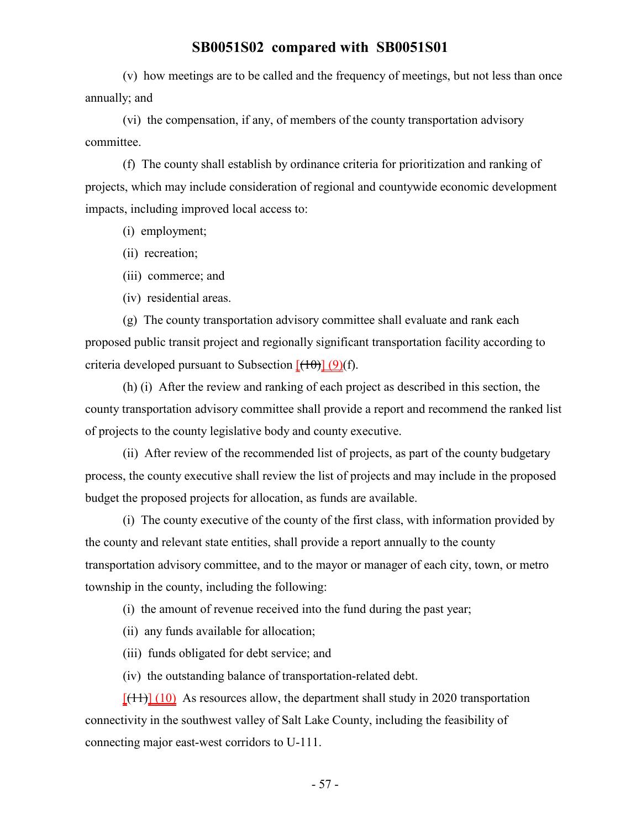(v) how meetings are to be called and the frequency of meetings, but not less than once annually; and

(vi) the compensation, if any, of members of the county transportation advisory committee.

(f) The county shall establish by ordinance criteria for prioritization and ranking of projects, which may include consideration of regional and countywide economic development impacts, including improved local access to:

- (i) employment;
- (ii) recreation;
- (iii) commerce; and
- (iv) residential areas.

(g) The county transportation advisory committee shall evaluate and rank each proposed public transit project and regionally significant transportation facility according to criteria developed pursuant to Subsection  $[(10)(f)]$ .

(h) (i) After the review and ranking of each project as described in this section, the county transportation advisory committee shall provide a report and recommend the ranked list of projects to the county legislative body and county executive.

(ii) After review of the recommended list of projects, as part of the county budgetary process, the county executive shall review the list of projects and may include in the proposed budget the proposed projects for allocation, as funds are available.

(i) The county executive of the county of the first class, with information provided by the county and relevant state entities, shall provide a report annually to the county transportation advisory committee, and to the mayor or manager of each city, town, or metro township in the county, including the following:

(i) the amount of revenue received into the fund during the past year;

- (ii) any funds available for allocation;
- (iii) funds obligated for debt service; and

(iv) the outstanding balance of transportation-related debt.

 $[(11)] (10)$  As resources allow, the department shall study in 2020 transportation connectivity in the southwest valley of Salt Lake County, including the feasibility of connecting major east-west corridors to U-111.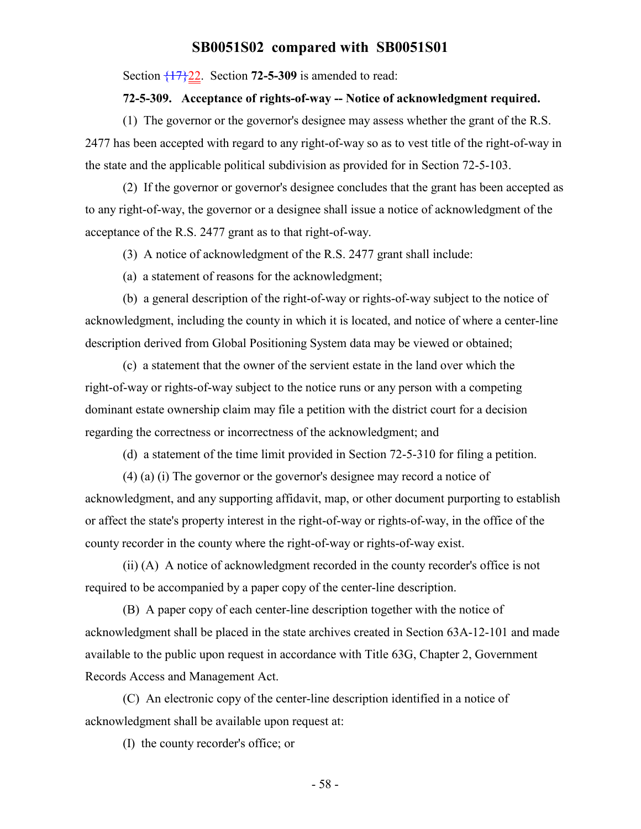Section {17}22. Section **72-5-309** is amended to read:

#### **72-5-309. Acceptance of rights-of-way -- Notice of acknowledgment required.**

(1) The governor or the governor's designee may assess whether the grant of the R.S. 2477 has been accepted with regard to any right-of-way so as to vest title of the right-of-way in the state and the applicable political subdivision as provided for in Section 72-5-103.

(2) If the governor or governor's designee concludes that the grant has been accepted as to any right-of-way, the governor or a designee shall issue a notice of acknowledgment of the acceptance of the R.S. 2477 grant as to that right-of-way.

(3) A notice of acknowledgment of the R.S. 2477 grant shall include:

(a) a statement of reasons for the acknowledgment;

(b) a general description of the right-of-way or rights-of-way subject to the notice of acknowledgment, including the county in which it is located, and notice of where a center-line description derived from Global Positioning System data may be viewed or obtained;

(c) a statement that the owner of the servient estate in the land over which the right-of-way or rights-of-way subject to the notice runs or any person with a competing dominant estate ownership claim may file a petition with the district court for a decision regarding the correctness or incorrectness of the acknowledgment; and

(d) a statement of the time limit provided in Section 72-5-310 for filing a petition.

(4) (a) (i) The governor or the governor's designee may record a notice of acknowledgment, and any supporting affidavit, map, or other document purporting to establish or affect the state's property interest in the right-of-way or rights-of-way, in the office of the county recorder in the county where the right-of-way or rights-of-way exist.

(ii) (A) A notice of acknowledgment recorded in the county recorder's office is not required to be accompanied by a paper copy of the center-line description.

(B) A paper copy of each center-line description together with the notice of acknowledgment shall be placed in the state archives created in Section 63A-12-101 and made available to the public upon request in accordance with Title 63G, Chapter 2, Government Records Access and Management Act.

(C) An electronic copy of the center-line description identified in a notice of acknowledgment shall be available upon request at:

(I) the county recorder's office; or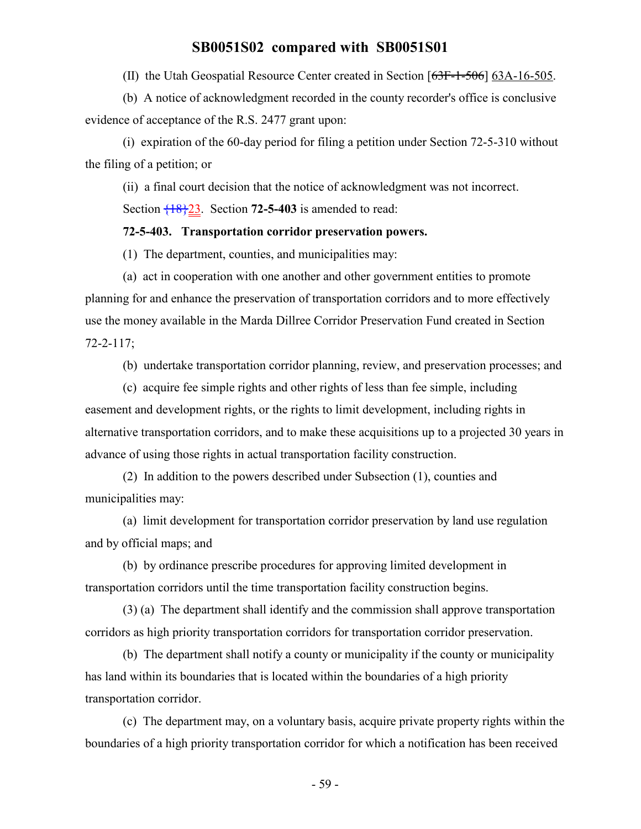(II) the Utah Geospatial Resource Center created in Section [63F-1-506] 63A-16-505.

(b) A notice of acknowledgment recorded in the county recorder's office is conclusive evidence of acceptance of the R.S. 2477 grant upon:

(i) expiration of the 60-day period for filing a petition under Section 72-5-310 without the filing of a petition; or

(ii) a final court decision that the notice of acknowledgment was not incorrect.

Section  $\frac{18}{23}$ . Section **72-5-403** is amended to read:

#### **72-5-403. Transportation corridor preservation powers.**

(1) The department, counties, and municipalities may:

(a) act in cooperation with one another and other government entities to promote planning for and enhance the preservation of transportation corridors and to more effectively use the money available in the Marda Dillree Corridor Preservation Fund created in Section 72-2-117;

(b) undertake transportation corridor planning, review, and preservation processes; and

(c) acquire fee simple rights and other rights of less than fee simple, including easement and development rights, or the rights to limit development, including rights in alternative transportation corridors, and to make these acquisitions up to a projected 30 years in advance of using those rights in actual transportation facility construction.

(2) In addition to the powers described under Subsection (1), counties and municipalities may:

(a) limit development for transportation corridor preservation by land use regulation and by official maps; and

(b) by ordinance prescribe procedures for approving limited development in transportation corridors until the time transportation facility construction begins.

(3) (a) The department shall identify and the commission shall approve transportation corridors as high priority transportation corridors for transportation corridor preservation.

(b) The department shall notify a county or municipality if the county or municipality has land within its boundaries that is located within the boundaries of a high priority transportation corridor.

(c) The department may, on a voluntary basis, acquire private property rights within the boundaries of a high priority transportation corridor for which a notification has been received